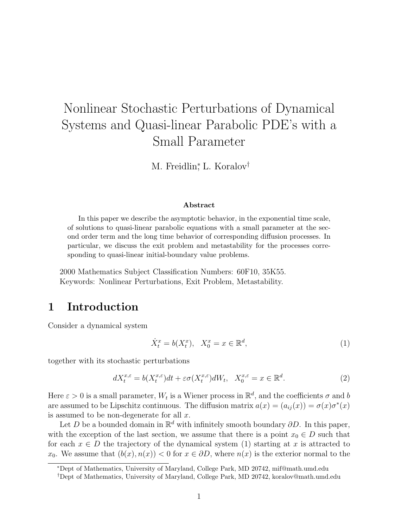# Nonlinear Stochastic Perturbations of Dynamical Systems and Quasi-linear Parabolic PDE's with a Small Parameter

M. Freidlin<sup>\*</sup>, L. Koralov<sup>†</sup>

#### **Abstract**

In this paper we describe the asymptotic behavior, in the exponential time scale, of solutions to quasi-linear parabolic equations with a small parameter at the second order term and the long time behavior of corresponding diffusion processes. In particular, we discuss the exit problem and metastability for the processes corresponding to quasi-linear initial-boundary value problems.

2000 Mathematics Subject Classification Numbers: 60F10, 35K55. Keywords: Nonlinear Perturbations, Exit Problem, Metastability.

# **1 Introduction**

Consider a dynamical system

$$
\dot{X}_t^x = b(X_t^x), \quad X_0^x = x \in \mathbb{R}^d,\tag{1}
$$

together with its stochastic perturbations

$$
dX_t^{x,\varepsilon} = b(X_t^{x,\varepsilon})dt + \varepsilon \sigma(X_t^{x,\varepsilon})dW_t, \quad X_0^{x,\varepsilon} = x \in \mathbb{R}^d. \tag{2}
$$

Here  $\varepsilon > 0$  is a small parameter,  $W_t$  is a Wiener process in  $\mathbb{R}^d$ , and the coefficients  $\sigma$  and b are assumed to be Lipschitz continuous. The diffusion matrix  $a(x)=(a_{ij}(x)) = \sigma(x)\sigma^*(x)$ is assumed to be non-degenerate for all  $x$ .

Let D be a bounded domain in  $\mathbb{R}^d$  with infinitely smooth boundary  $\partial D$ . In this paper, with the exception of the last section, we assume that there is a point  $x_0 \in D$  such that for each  $x \in D$  the trajectory of the dynamical system (1) starting at x is attracted to  $x_0$ . We assume that  $(b(x), n(x)) < 0$  for  $x \in \partial D$ , where  $n(x)$  is the exterior normal to the

<sup>∗</sup>Dept of Mathematics, University of Maryland, College Park, MD 20742, mif@math.umd.edu

<sup>†</sup>Dept of Mathematics, University of Maryland, College Park, MD 20742, koralov@math.umd.edu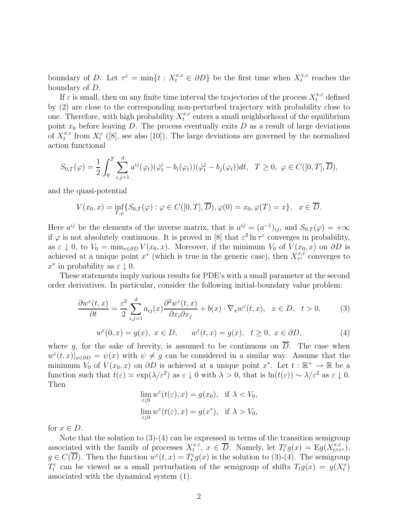boundary of D. Let  $\tau^{\varepsilon} = \min\{t : X_t^{x,\varepsilon} \in \partial D\}$  be the first time when  $X_t^{x,\varepsilon}$  reaches the boundary of D.

If  $\varepsilon$  is small, then on any finite time interval the trajectories of the process  $X_t^{x,\varepsilon}$  defined by (2) are close to the corresponding non-perturbed trajectory with probability close to one. Therefore, with high probability  $X_t^{x,\varepsilon}$  enters a small neighborhood of the equilibrium point  $x_0$  before leaving D. The process eventually exits D as a result of large deviations of  $X_t^{x,\varepsilon}$  from  $X_t^x$  ([8], see also [10]). The large deviations are governed by the normalized action functional

$$
S_{0,T}(\varphi) = \frac{1}{2} \int_0^T \sum_{i,j=1}^d a^{ij}(\varphi_t) (\dot{\varphi}_t^i - b_i(\varphi_t)) (\dot{\varphi}_t^j - b_j(\varphi_t)) dt, \quad T \ge 0, \ \varphi \in C([0,T], \overline{D}),
$$

and the quasi-potential

$$
V(x_0, x) = \inf_{T, \varphi} \{ S_{0,T}(\varphi) : \varphi \in C([0, T], \overline{D}), \varphi(0) = x_0, \varphi(T) = x \}, \quad x \in \overline{D}.
$$

Here  $a^{ij}$  be the elements of the inverse matrix, that is  $a^{ij} = (a^{-1})_{ij}$ , and  $S_{0,T}(\varphi) = +\infty$ if  $\varphi$  is not absolutely continuous. It is proved in [8] that  $\varepsilon^2 \ln \tau^{\varepsilon}$  converges in probability, as  $\varepsilon \downarrow 0$ , to  $V_0 = \min_{x \in \partial D} V(x_0, x)$ . Moreover, if the minimum  $V_0$  of  $V(x_0, x)$  on  $\partial D$  is achieved at a unique point  $x^*$  (which is true in the generic case), then  $X^{x,\varepsilon}_{\tau^{\varepsilon}}$  converges to  $x^*$  in probability as  $\varepsilon \downarrow 0$ .

These statements imply various results for PDE's with a small parameter at the second order derivatives. In particular, consider the following initial-boundary value problem:

$$
\frac{\partial w^{\varepsilon}(t,x)}{\partial t} = \frac{\varepsilon^{2}}{2} \sum_{i,j=1}^{d} a_{ij}(x) \frac{\partial^{2} w^{\varepsilon}(t,x)}{\partial x_{i} \partial x_{j}} + b(x) \cdot \nabla_{x} w^{\varepsilon}(t,x), \quad x \in D, \quad t > 0,
$$
\n(3)

$$
w^{\varepsilon}(0,x) = g(x), \ x \in D, \qquad w^{\varepsilon}(t,x) = g(x), \quad t \ge 0, \ x \in \partial D,
$$
\n<sup>(4)</sup>

where q, for the sake of brevity, is assumed to be continuous on  $\overline{D}$ . The case when  $w^{\varepsilon}(t,x)|_{x\in\partial D} = \psi(x)$  with  $\psi \neq g$  can be considered in a similar way. Assume that the minimum  $V_0$  of  $V(x_0, x)$  on  $\partial D$  is achieved at a unique point  $x^*$ . Let  $t : \mathbb{R}^+ \to \mathbb{R}$  be a function such that  $t(\varepsilon) \approx \exp(\lambda/\varepsilon^2)$  as  $\varepsilon \downarrow 0$  with  $\lambda > 0$ , that is  $\ln(t(\varepsilon)) \sim \lambda/\varepsilon^2$  as  $\varepsilon \downarrow 0$ . Then

$$
\lim_{\varepsilon \downarrow 0} w^{\varepsilon}(t(\varepsilon), x) = g(x_0), \text{ if } \lambda < V_0,
$$
\n
$$
\lim_{\varepsilon \downarrow 0} w^{\varepsilon}(t(\varepsilon), x) = g(x^*), \text{ if } \lambda > V_0,
$$

for  $x \in D$ .

Note that the solution to  $(3)-(4)$  can be expressed in terms of the transition semigroup associated with the family of processes  $X_t^{x,\varepsilon}, x \in \overline{D}$ . Namely, let  $T_t^{\varepsilon}g(x) = Eg(X_{t \wedge \tau^{\varepsilon}}^{x,\varepsilon})$ ,  $g \in C(\overline{D})$ . Then the function  $w^{\varepsilon}(t,x) = T_t^{\varepsilon} g(x)$  is the solution to (3)-(4). The semigroup  $T_t^{\varepsilon}$  can be viewed as a small perturbation of the semigroup of shifts  $T_t g(x) = g(X_t^x)$ associated with the dynamical system (1).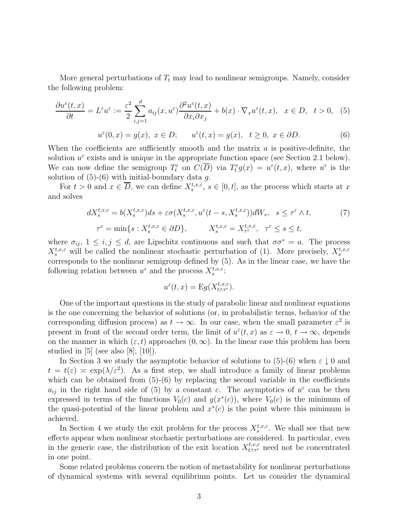More general perturbations of  $T_t$  may lead to nonlinear semigroups. Namely, consider the following problem:

$$
\frac{\partial u^{\varepsilon}(t,x)}{\partial t} = L^{\varepsilon} u^{\varepsilon} := \frac{\varepsilon^2}{2} \sum_{i,j=1}^{d} a_{ij}(x, u^{\varepsilon}) \frac{\partial^2 u^{\varepsilon}(t,x)}{\partial x_i \partial x_j} + b(x) \cdot \nabla_x u^{\varepsilon}(t,x), \quad x \in D, \quad t > 0, \quad (5)
$$

$$
u^{\varepsilon}(0,x) = g(x), \ x \in D; \qquad u^{\varepsilon}(t,x) = g(x), \quad t \ge 0, \ x \in \partial D.
$$
 (6)

When the coefficients are sufficiently smooth and the matrix  $a$  is positive-definite, the solution  $u^{\varepsilon}$  exists and is unique in the appropriate function space (see Section 2.1 below). We can now define the semigroup  $T_t^{\varepsilon}$  on  $C(\overline{D})$  via  $T_t^{\varepsilon} g(x) = u^{\varepsilon}(t,x)$ , where  $u^{\varepsilon}$  is the solution of  $(5)-(6)$  with initial-boundary data g.

For  $t > 0$  and  $x \in \overline{D}$ , we can define  $X_s^{t,x,\varepsilon}$ ,  $s \in [0,t]$ , as the process which starts at x and solves

$$
dX_s^{t,x,\varepsilon} = b(X_s^{t,x,\varepsilon})ds + \varepsilon \sigma(X_s^{t,x,\varepsilon}, u^{\varepsilon}(t-s, X_s^{t,x,\varepsilon}))dW_s, \quad s \le \tau^{\varepsilon} \wedge t,
$$
  

$$
\tau^{\varepsilon} = \min\{s : X_s^{t,x,\varepsilon} \in \partial D\}, \qquad X_s^{t,x,\varepsilon} = X_{\tau^{\varepsilon}}^{t,x,\varepsilon}, \quad \tau^{\varepsilon} \le s \le t,
$$
 (7)

where  $\sigma_{ij}$ ,  $1 \leq i, j \leq d$ , are Lipschitz continuous and such that  $\sigma \sigma^* = a$ . The process  $X_s^{t,x,\varepsilon}$  will be called the nonlinear stochastic perturbation of (1). More precisely,  $X_s^{t,x,\varepsilon}$ corresponds to the nonlinear semigroup defined by (5). As in the linear case, we have the following relation between  $u^{\varepsilon}$  and the process  $X_s^{t,x,\varepsilon}$ .

$$
u^{\varepsilon}(t,x) = \mathcal{E}g(X^{t,x,\varepsilon}_{t \wedge \tau^{\varepsilon}}).
$$

One of the important questions in the study of parabolic linear and nonlinear equations is the one concerning the behavior of solutions (or, in probabilistic terms, behavior of the corresponding diffusion process) as  $t \to \infty$ . In our case, when the small parameter  $\varepsilon^2$  is present in front of the second order term, the limit of  $u^{\varepsilon}(t,x)$  as  $\varepsilon \to 0$ ,  $t \to \infty$ , depends on the manner in which  $(\varepsilon, t)$  approaches  $(0, \infty)$ . In the linear case this problem has been studied in  $[5]$  (see also  $[8]$ ,  $[10]$ ).

In Section 3 we study the asymptotic behavior of solutions to  $(5)-(6)$  when  $\varepsilon \downarrow 0$  and  $t = t(\varepsilon) \approx \exp(\lambda/\varepsilon^2)$ . As a first step, we shall introduce a family of linear problems which can be obtained from  $(5)-(6)$  by replacing the second variable in the coefficients  $a_{ij}$  in the right hand side of (5) by a constant c. The asymptotics of  $u^{\varepsilon}$  can be then expressed in terms of the functions  $V_0(c)$  and  $g(x^*(c))$ , where  $V_0(c)$  is the minimum of the quasi-potential of the linear problem and  $x<sup>*</sup>(c)$  is the point where this minimum is achieved.

In Section 4 we study the exit problem for the process  $X_s^{t,x,\varepsilon}$ . We shall see that new effects appear when nonlinear stochastic perturbations are considered. In particular, even in the generic case, the distribution of the exit location  $X_{t \wedge \tau^{\varepsilon}}^{t,x,\varepsilon}$  need not be concentrated in one point.

Some related problems concern the notion of metastability for nonlinear perturbations of dynamical systems with several equilibrium points. Let us consider the dynamical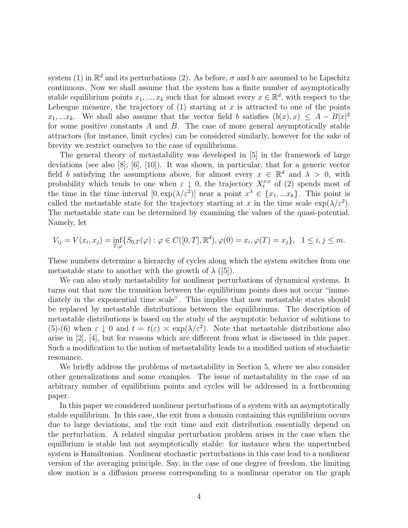system (1) in  $\mathbb{R}^d$  and its perturbations (2). As before,  $\sigma$  and b are assumed to be Lipschitz continuous. Now we shall assume that the system has a finite number of asymptotically stable equilibrium points  $x_1, ..., x_k$  such that for almost every  $x \in \mathbb{R}^d$ , with respect to the Lebesgue measure, the trajectory of  $(1)$  starting at x is attracted to one of the points  $x_1, \ldots, x_k$ . We shall also assume that the vector field b satisfies  $(b(x), x) \leq A - B|x|^2$ for some positive constants  $A$  and  $B$ . The case of more general asymptotically stable attractors (for instance, limit cycles) can be considered similarly, however for the sake of brevity we restrict ourselves to the case of equilibriums.

The general theory of metastability was developed in [5] in the framework of large deviations (see also [8], [6], [10]). It was shown, in particular, that for a generic vector field b satisfying the assumptions above, for almost every  $x \in \mathbb{R}^d$  and  $\lambda > 0$ , with probability which tends to one when  $\varepsilon \downarrow 0$ , the trajectory  $X_t^{x,\varepsilon}$  of (2) spends most of the time in the time interval  $[0, \exp(\lambda/\varepsilon^2)]$  near a point  $x^{\lambda} \in \{x_1, ... x_k\}$ . This point is called the metastable state for the trajectory starting at x in the time scale  $\exp(\lambda/\varepsilon^2)$ . The metastable state can be determined by examining the values of the quasi-potential. Namely, let

$$
V_{ij} = V(x_i, x_j) = \inf_{T, \varphi} \{ S_{0,T}(\varphi) : \varphi \in C([0, T], \mathbb{R}^d), \varphi(0) = x_i, \varphi(T) = x_j \}, \quad 1 \le i, j \le m.
$$

These numbers determine a hierarchy of cycles along which the system switches from one metastable state to another with the growth of  $\lambda$  ([5]).

We can also study metastability for nonlinear perturbations of dynamical systems. It turns out that now the transition between the equilibrium points does not occur "immediately in the exponential time scale". This implies that now metastable states should be replaced by metastable distributions between the equilibriums. The description of metastable distributions is based on the study of the asymptotic behavior of solutions to (5)-(6) when  $\varepsilon \downarrow 0$  and  $t = t(\varepsilon) \approx \exp(\lambda/\varepsilon^2)$ . Note that metastable distributions also arise in [2], [4], but for reasons which are different from what is discussed in this paper. Such a modification to the notion of metastability leads to a modified notion of stochastic resonance.

We briefly address the problems of metastability in Section 5, where we also consider other generalizations and some examples. The issue of metastability in the case of an arbitrary number of equilibrium points and cycles will be addressed in a forthcoming paper.

In this paper we considered nonlinear perturbations of a system with an asymptotically stable equilibrium. In this case, the exit from a domain containing this equilibrium occurs due to large deviations, and the exit time and exit distribution essentially depend on the perturbation. A related singular perturbation problem arises in the case when the equilbrium is stable but not asymptotically stable: for instance when the unperturbed system is Hamiltonian. Nonlinear stochastic perturbations in this case lead to a nonlinear version of the averaging principle. Say, in the case of one degree of freedom, the limiting slow motion is a diffusion process corresponding to a nonlinear operator on the graph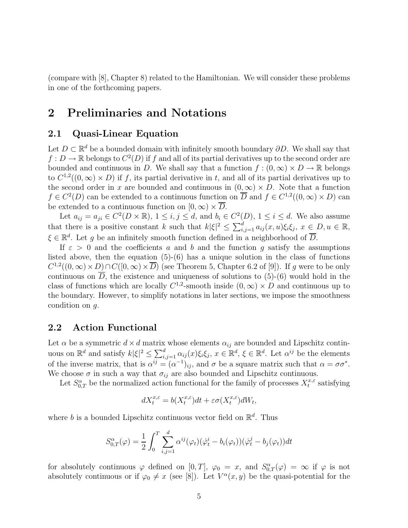(compare with [8], Chapter 8) related to the Hamiltonian. We will consider these problems in one of the forthcoming papers.

# **2 Preliminaries and Notations**

#### **2.1 Quasi-Linear Equation**

Let  $D \subset \mathbb{R}^d$  be a bounded domain with infinitely smooth boundary  $\partial D$ . We shall say that  $f: D \to \mathbb{R}$  belongs to  $C^2(D)$  if f and all of its partial derivatives up to the second order are bounded and continuous in D. We shall say that a function  $f : (0, \infty) \times D \to \mathbb{R}$  belongs to  $C^{1,2}((0,\infty) \times D)$  if f, its partial derivative in t, and all of its partial derivatives up to the second order in x are bounded and continuous in  $(0, \infty) \times D$ . Note that a function  $f \in C^2(D)$  can be extended to a continuous function on  $\overline{D}$  and  $f \in C^{1,2}((0,\infty) \times D)$  can be extended to a continuous function on  $[0, \infty) \times \overline{D}$ .

Let  $a_{ij} = a_{ji} \in C^2(D \times \mathbb{R})$ ,  $1 \le i, j \le d$ , and  $b_i \in C^2(D)$ ,  $1 \le i \le d$ . We also assume that there is a positive constant k such that  $k|\xi|^2 \leq \sum_{i,j=1}^d a_{ij}(x,u)\xi_i\xi_j, x \in D, u \in \mathbb{R}$ ,  $\xi \in \mathbb{R}^d$ . Let g be an infinitely smooth function defined in a neighborhood of  $\overline{D}$ .

If  $\varepsilon > 0$  and the coefficients a and b and the function g satisfy the assumptions listed above, then the equation  $(5)-(6)$  has a unique solution in the class of functions  $C^{1,2}((0,\infty)\times D)\cap C([0,\infty)\times D)$  (see Theorem 5, Chapter 6.2 of [9]). If g were to be only continuous on  $\overline{D}$ , the existence and uniqueness of solutions to (5)-(6) would hold in the class of functions which are locally  $C^{1,2}$ -smooth inside  $(0,\infty) \times D$  and continuous up to the boundary. However, to simplify notations in later sections, we impose the smoothness condition on g.

#### **2.2 Action Functional**

Let  $\alpha$  be a symmetric  $d \times d$  matrix whose elements  $\alpha_{ij}$  are bounded and Lipschitz continuous on  $\mathbb{R}^d$  and satisfy  $k|\xi|^2 \leq \sum_{i,j=1}^d \alpha_{ij}(x)\xi_i\xi_j, x \in \mathbb{R}^d$ ,  $\xi \in \mathbb{R}^d$ . Let  $\alpha^{ij}$  be the elements of the inverse matrix, that is  $\alpha^{ij} = (\alpha^{-1})_{ij}$ , and  $\sigma$  be a square matrix such that  $\alpha = \sigma \sigma^*$ . We choose  $\sigma$  in such a way that  $\sigma_{ij}$  are also bounded and Lipschitz continuous.

Let  $S^{\alpha}_{0,T}$  be the normalized action functional for the family of processes  $X_t^{x,\varepsilon}$  satisfying

$$
dX^{x,\varepsilon}_t=b(X^{x,\varepsilon}_t)dt+\varepsilon\sigma(X^{x,\varepsilon}_t)dW_t,
$$

where b is a bounded Lipschitz continuous vector field on  $\mathbb{R}^d$ . Thus

$$
S_{0,T}^{\alpha}(\varphi) = \frac{1}{2} \int_0^T \sum_{i,j=1}^d \alpha^{ij}(\varphi_t) (\dot{\varphi}_t^i - b_i(\varphi_t)) (\dot{\varphi}_t^j - b_j(\varphi_t)) dt
$$

for absolutely continuous  $\varphi$  defined on  $[0,T]$ ,  $\varphi_0 = x$ , and  $S^{\alpha}_{0,T}(\varphi) = \infty$  if  $\varphi$  is not absolutely continuous or if  $\varphi_0 \neq x$  (see [8]). Let  $V^{\alpha}(x, y)$  be the quasi-potential for the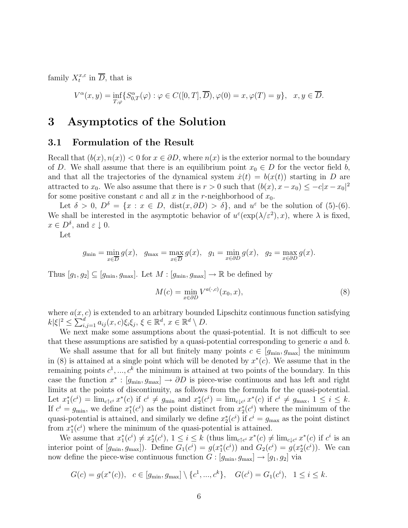family  $X_t^{x,\varepsilon}$  in  $\overline{D}$ , that is

$$
V^{\alpha}(x, y) = \inf_{T, \varphi} \{ S^{\alpha}_{0,T}(\varphi) : \varphi \in C([0, T], \overline{D}), \varphi(0) = x, \varphi(T) = y \}, \quad x, y \in \overline{D}.
$$

# **3 Asymptotics of the Solution**

#### **3.1 Formulation of the Result**

Recall that  $(b(x), n(x)) < 0$  for  $x \in \partial D$ , where  $n(x)$  is the exterior normal to the boundary of D. We shall assume that there is an equilibrium point  $x_0 \in D$  for the vector field b, and that all the trajectories of the dynamical system  $\dot{x}(t) = b(x(t))$  starting in D are attracted to  $x_0$ . We also assume that there is  $r > 0$  such that  $(b(x), x - x_0) \leq -c|x - x_0|^2$ for some positive constant c and all x in the r-neighborhood of  $x_0$ .

Let  $\delta > 0$ ,  $D^{\delta} = \{x : x \in D, \text{ dist}(x, \partial D) > \delta\}$ , and  $u^{\varepsilon}$  be the solution of (5)-(6). We shall be interested in the asymptotic behavior of  $u^{\varepsilon}(\exp(\lambda/\varepsilon^2), x)$ , where  $\lambda$  is fixed,  $x \in D^{\delta}$ , and  $\varepsilon \downarrow 0$ .

Let

$$
g_{\min} = \min_{x \in \overline{D}} g(x), \quad g_{\max} = \max_{x \in \overline{D}} g(x), \quad g_1 = \min_{x \in \partial D} g(x), \quad g_2 = \max_{x \in \partial D} g(x).
$$

Thus  $[g_1, g_2] \subseteq [g_{\min}, g_{\max}]$ . Let  $M : [g_{\min}, g_{\max}] \to \mathbb{R}$  be defined by

$$
M(c) = \min_{x \in \partial D} V^{a(\cdot, c)}(x_0, x), \tag{8}
$$

where  $a(x, c)$  is extended to an arbitrary bounded Lipschitz continuous function satisfying  $|k|\xi|^2 \leq \sum_{i,j=1}^d a_{ij}(x,c)\xi_i\xi_j, \xi \in \mathbb{R}^d, x \in \mathbb{R}^d \setminus D.$ 

We next make some assumptions about the quasi-potential. It is not difficult to see that these assumptions are satisfied by a quasi-potential corresponding to generic  $a$  and  $b$ .

We shall assume that for all but finitely many points  $c \in [g_{min}, g_{max}]$  the minimum in (8) is attained at a single point which will be denoted by  $x^*(c)$ . We assume that in the remaining points  $c^1, ..., c^k$  the minimum is attained at two points of the boundary. In this case the function  $x^* : [g_{\text{min}}, g_{\text{max}}] \to \partial D$  is piece-wise continuous and has left and right limits at the points of discontinuity, as follows from the formula for the quasi-potential. Let  $x_1^*(c^i) = \lim_{c \uparrow c^i} x^*(c)$  if  $c^i \neq g_{\min}$  and  $x_2^*(c^i) = \lim_{c \downarrow c^i} x^*(c)$  if  $c^i \neq g_{\max}$ ,  $1 \leq i \leq k$ . If  $c^i = g_{\min}$ , we define  $x_1^*(c^i)$  as the point distinct from  $x_2^*(c^i)$  where the minimum of the quasi-potential is attained, and similarly we define  $x_2^*(c^i)$  if  $c^i = g_{\text{max}}$  as the point distinct from  $x_1^*(c^i)$  where the minimum of the quasi-potential is attained.

We assume that  $x_1^*(c^i) \neq x_2^*(c^i)$ ,  $1 \leq i \leq k$  (thus  $\lim_{c \uparrow c^i} x^*(c) \neq \lim_{c \downarrow c^i} x^*(c)$  if  $c^i$  is an interior point of  $[g_{\min}, g_{\max}]$ ). Define  $G_1(c^i) = g(x_1^*(c^i))$  and  $G_2(c^i) = g(x_2^*(c^i))$ . We can now define the piece-wise continuous function  $G : [g_{\text{min}}, g_{\text{max}}] \rightarrow [g_1, g_2]$  via

$$
G(c) = g(x^*(c)), \quad c \in [g_{\min}, g_{\max}] \setminus \{c^1, ..., c^k\}, \quad G(c^i) = G_1(c^i), \quad 1 \le i \le k.
$$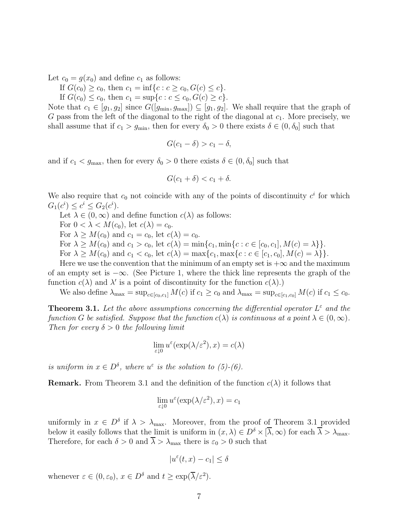Let  $c_0 = g(x_0)$  and define  $c_1$  as follows:

If  $G(c_0) \ge c_0$ , then  $c_1 = \inf\{c : c \ge c_0, G(c) \le c\}.$ 

If  $G(c_0) \le c_0$ , then  $c_1 = \sup\{c : c \le c_0, G(c) \ge c\}.$ 

Note that  $c_1 \in [g_1, g_2]$  since  $G([g_{\min}, g_{\max}]) \subseteq [g_1, g_2]$ . We shall require that the graph of G pass from the left of the diagonal to the right of the diagonal at  $c_1$ . More precisely, we shall assume that if  $c_1 > g_{\text{min}}$ , then for every  $\delta_0 > 0$  there exists  $\delta \in (0, \delta_0]$  such that

$$
G(c_1 - \delta) > c_1 - \delta,
$$

and if  $c_1 < g_{\text{max}}$ , then for every  $\delta_0 > 0$  there exists  $\delta \in (0, \delta_0]$  such that

$$
G(c_1 + \delta) < c_1 + \delta.
$$

We also require that  $c_0$  not coincide with any of the points of discontinuity  $c^i$  for which  $G_1(c^i) \leq c^i \leq G_2(c^i).$ 

Let  $\lambda \in (0,\infty)$  and define function  $c(\lambda)$  as follows:

For  $0 < \lambda < M(c_0)$ , let  $c(\lambda) = c_0$ .

For  $\lambda \geq M(c_0)$  and  $c_1 = c_0$ , let  $c(\lambda) = c_0$ .

For  $\lambda \geq M(c_0)$  and  $c_1 > c_0$ , let  $c(\lambda) = \min\{c_1, \min\{c : c \in [c_0, c_1], M(c) = \lambda\}\}.$ 

For  $\lambda \geq M(c_0)$  and  $c_1 < c_0$ , let  $c(\lambda) = \max\{c_1, \max\{c : c \in [c_1, c_0], M(c) = \lambda\}\}.$ 

Here we use the convention that the minimum of an empty set is  $+\infty$  and the maximum of an empty set is  $-\infty$ . (See Picture 1, where the thick line represents the graph of the function  $c(\lambda)$  and  $\lambda'$  is a point of discontinuity for the function  $c(\lambda)$ .)

We also define  $\lambda_{\max} = \sup_{c \in [c_0, c_1]} M(c)$  if  $c_1 \geq c_0$  and  $\lambda_{\max} = \sup_{c \in [c_1, c_0]} M(c)$  if  $c_1 \leq c_0$ .

**Theorem 3.1.** Let the above assumptions concerning the differential operator  $L^{\varepsilon}$  and the function G be satisfied. Suppose that the function  $c(\lambda)$  is continuous at a point  $\lambda \in (0,\infty)$ . Then for every  $\delta > 0$  the following limit

$$
\lim_{\varepsilon \downarrow 0} u^{\varepsilon}(\exp(\lambda/\varepsilon^2), x) = c(\lambda)
$$

is uniform in  $x \in D^{\delta}$ , where  $u^{\varepsilon}$  is the solution to (5)-(6).

**Remark.** From Theorem 3.1 and the definition of the function  $c(\lambda)$  it follows that

$$
\lim_{\varepsilon \downarrow 0} u^{\varepsilon}(\exp(\lambda/\varepsilon^2), x) = c_1
$$

uniformly in  $x \in D^{\delta}$  if  $\lambda > \lambda_{\text{max}}$ . Moreover, from the proof of Theorem 3.1 provided below it easily follows that the limit is uniform in  $(x, \lambda) \in D^{\delta} \times [\overline{\lambda}, \infty)$  for each  $\overline{\lambda} > \lambda_{\max}$ . Therefore, for each  $\delta > 0$  and  $\overline{\lambda} > \lambda_{\text{max}}$  there is  $\varepsilon_0 > 0$  such that

$$
|u^{\varepsilon}(t,x)-c_1|\leq \delta
$$

whenever  $\varepsilon \in (0, \varepsilon_0), x \in D^{\delta}$  and  $t \geq \exp(\overline{\lambda}/\varepsilon^2)$ .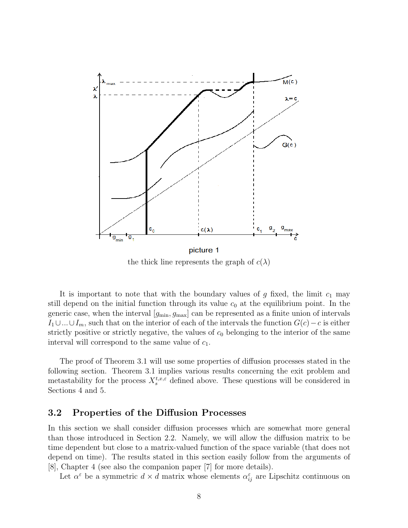

the thick line represents the graph of  $c(\lambda)$ 

It is important to note that with the boundary values of g fixed, the limit  $c_1$  may still depend on the initial function through its value  $c_0$  at the equilibrium point. In the generic case, when the interval  $[g_{\min}, g_{\max}]$  can be represented as a finite union of intervals  $I_1\cup...\cup I_m$ , such that on the interior of each of the intervals the function  $G(c)-c$  is either strictly positive or strictly negative, the values of  $c_0$  belonging to the interior of the same interval will correspond to the same value of  $c_1$ .

The proof of Theorem 3.1 will use some properties of diffusion processes stated in the following section. Theorem 3.1 implies various results concerning the exit problem and metastability for the process  $X_s^{t,x,\varepsilon}$  defined above. These questions will be considered in Sections 4 and 5.

#### **3.2 Properties of the Diffusion Processes**

In this section we shall consider diffusion processes which are somewhat more general than those introduced in Section 2.2. Namely, we will allow the diffusion matrix to be time dependent but close to a matrix-valued function of the space variable (that does not depend on time). The results stated in this section easily follow from the arguments of [8], Chapter 4 (see also the companion paper [7] for more details).

Let  $\alpha^{\varepsilon}$  be a symmetric  $d \times d$  matrix whose elements  $\alpha^{\varepsilon}_{ij}$  are Lipschitz continuous on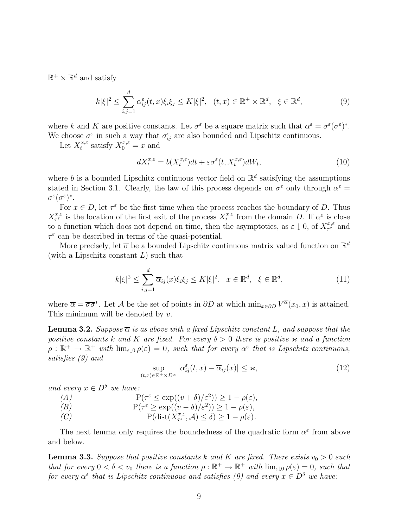$\mathbb{R}^+ \times \mathbb{R}^d$  and satisfy

$$
k|\xi|^2 \le \sum_{i,j=1}^d \alpha_{ij}^{\varepsilon}(t,x)\xi_i\xi_j \le K|\xi|^2, \quad (t,x) \in \mathbb{R}^+ \times \mathbb{R}^d, \quad \xi \in \mathbb{R}^d,
$$
\n
$$
(9)
$$

where k and K are positive constants. Let  $\sigma^{\varepsilon}$  be a square matrix such that  $\alpha^{\varepsilon} = \sigma^{\varepsilon}(\sigma^{\varepsilon})^*$ . We choose  $\sigma^{\varepsilon}$  in such a way that  $\sigma_{ij}^{\varepsilon}$  are also bounded and Lipschitz continuous.

Let  $X_t^{x,\varepsilon}$  satisfy  $X_0^{x,\varepsilon} = x$  and

$$
dX_t^{x,\varepsilon} = b(X_t^{x,\varepsilon})dt + \varepsilon \sigma^{\varepsilon}(t, X_t^{x,\varepsilon})dW_t,
$$
\n(10)

where b is a bounded Lipschitz continuous vector field on  $\mathbb{R}^d$  satisfying the assumptions stated in Section 3.1. Clearly, the law of this process depends on  $\sigma^{\epsilon}$  only through  $\alpha^{\epsilon}$  =  $\sigma^{\varepsilon}(\sigma^{\varepsilon})^*$ .

For  $x \in D$ , let  $\tau^{\varepsilon}$  be the first time when the process reaches the boundary of D. Thus  $X_{\tau^{\varepsilon}}^{x,\varepsilon}$  is the location of the first exit of the process  $X_t^{x,\varepsilon}$  from the domain D. If  $\alpha^{\varepsilon}$  is close to a function which does not depend on time, then the asymptotics, as  $\varepsilon \downarrow 0$ , of  $X_{\tau_{\varepsilon}}^{x,\varepsilon}$  and  $\tau^{\varepsilon}$  can be described in terms of the quasi-potential.

More precisely, let  $\overline{\sigma}$  be a bounded Lipschitz continuous matrix valued function on  $\mathbb{R}^d$ (with a Lipschitz constant  $L$ ) such that

$$
k|\xi|^2 \le \sum_{i,j=1}^d \overline{\alpha}_{ij}(x)\xi_i\xi_j \le K|\xi|^2, \quad x \in \mathbb{R}^d, \quad \xi \in \mathbb{R}^d,
$$
\n(11)

where  $\overline{\alpha} = \overline{\sigma \sigma}^*$ . Let A be the set of points in  $\partial D$  at which  $\min_{x \in \partial D} V^{\overline{\alpha}}(x_0, x)$  is attained. This minimum will be denoted by  $v$ .

**Lemma 3.2.** Suppose  $\overline{\alpha}$  is as above with a fixed Lipschitz constant L, and suppose that the positive constants k and K are fixed. For every  $\delta > 0$  there is positive x and a function  $\rho : \mathbb{R}^+ \to \mathbb{R}^+$  with  $\lim_{\varepsilon \downarrow 0} \rho(\varepsilon) = 0$ , such that for every  $\alpha^{\varepsilon}$  that is Lipschitz continuous, satisfies (9) and

$$
\sup_{(t,x)\in\mathbb{R}^+\times D^{\varkappa}}|\alpha_{ij}^{\varepsilon}(t,x)-\overline{\alpha}_{ij}(x)|\leq\varkappa,
$$
\n(12)

and every  $x \in D^{\delta}$  we have:

$$
(A) \tP(\tau^{\varepsilon} \le \exp((v+\delta)/\varepsilon^2)) \ge 1 - \rho(\varepsilon),
$$

$$
(B) \tP(\tau^{\varepsilon} \ge \exp((v - \delta)/\varepsilon^2)) \ge 1 - \rho(\varepsilon),
$$

(C)  $P(\text{dist}(X^{x,\varepsilon}_{\tau^{\varepsilon}}, \mathcal{A}) \le \delta) \ge 1 - \rho(\varepsilon).$ 

The next lemma only requires the boundedness of the quadratic form  $\alpha^{\varepsilon}$  from above and below.

**Lemma 3.3.** Suppose that positive constants k and K are fixed. There exists  $v_0 > 0$  such that for every  $0 < \delta < v_0$  there is a function  $\rho : \mathbb{R}^+ \to \mathbb{R}^+$  with  $\lim_{\varepsilon \downarrow 0} \rho(\varepsilon) = 0$ , such that for every  $\alpha^{\varepsilon}$  that is Lipschitz continuous and satisfies (9) and every  $x \in D^{\delta}$  we have: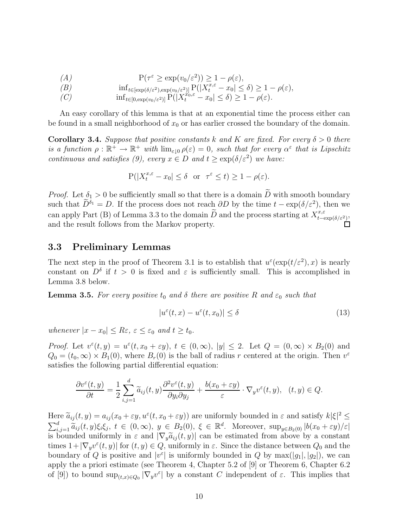$$
(A) \tP(\tau^{\varepsilon} \ge \exp(v_0/\varepsilon^2)) \ge 1 - \rho(\varepsilon),
$$

$$
(B) \qquad \qquad \inf_{t \in [\exp(\delta/\varepsilon^2), \exp(v_0/\varepsilon^2)]} \mathbf{P}(|X_t^{x,\varepsilon} - x_0| \le \delta) \ge 1 - \rho(\varepsilon),
$$

$$
(C) \quad \inf_{t \in [0, \exp(v_0/\varepsilon^2)]} \mathbf{P}(|X_t^{x_0,\varepsilon} - x_0| \le \delta) \ge 1 - \rho(\varepsilon).
$$

An easy corollary of this lemma is that at an exponential time the process either can be found in a small neighborhood of  $x_0$  or has earlier crossed the boundary of the domain.

**Corollary 3.4.** Suppose that positive constants k and K are fixed. For every  $\delta > 0$  there is a function  $\rho : \mathbb{R}^+ \to \mathbb{R}^+$  with  $\lim_{\varepsilon \downarrow 0} \rho(\varepsilon) = 0$ , such that for every  $\alpha^{\varepsilon}$  that is Lipschitz continuous and satisfies (9), every  $x \in D$  and  $t \geq \exp(\delta/\varepsilon^2)$  we have:

$$
\mathbf{P}(|X_t^{x,\varepsilon} - x_0| \le \delta \quad \text{or} \quad \tau^{\varepsilon} \le t) \ge 1 - \rho(\varepsilon).
$$

*Proof.* Let  $\delta_1 > 0$  be sufficiently small so that there is a domain  $\widetilde{D}$  with smooth boundary such that  $\widetilde{D}^{\delta_1} = D$ . If the process does not reach  $\partial D$  by the time  $t - \exp(\delta/\varepsilon^2)$ , then we can apply Part (B) of Lemma 3.3 to the domain  $\widetilde{D}$  and the process starting at  $X_{t-\exp(\delta/\varepsilon^2)}^{x,\varepsilon}$ , and the result follows from the Markov property.  $\Box$ 

#### **3.3 Preliminary Lemmas**

The next step in the proof of Theorem 3.1 is to establish that  $u^{\varepsilon}(\exp(t/\varepsilon^2), x)$  is nearly constant on  $D^{\delta}$  if  $t > 0$  is fixed and  $\varepsilon$  is sufficiently small. This is accomplished in Lemma 3.8 below.

**Lemma 3.5.** For every positive  $t_0$  and  $\delta$  there are positive R and  $\varepsilon_0$  such that

$$
|u^{\varepsilon}(t,x) - u^{\varepsilon}(t,x_0)| \le \delta \tag{13}
$$

whenever  $|x-x_0|\leq R\varepsilon$ ,  $\varepsilon\leq \varepsilon_0$  and  $t\geq t_0$ .

*Proof.* Let  $v^{\varepsilon}(t, y) = u^{\varepsilon}(t, x_0 + \varepsilon y), t \in (0, \infty), |y| \leq 2$ . Let  $Q = (0, \infty) \times B_2(0)$  and  $Q_0 = (t_0, \infty) \times B_1(0)$ , where  $B_r(0)$  is the ball of radius r centered at the origin. Then  $v^{\varepsilon}$ satisfies the following partial differential equation:

$$
\frac{\partial v^{\varepsilon}(t,y)}{\partial t} = \frac{1}{2} \sum_{i,j=1}^{d} \widetilde{a}_{ij}(t,y) \frac{\partial^2 v^{\varepsilon}(t,y)}{\partial y_i \partial y_j} + \frac{b(x_0 + \varepsilon y)}{\varepsilon} \cdot \nabla_y v^{\varepsilon}(t,y), \quad (t,y) \in Q.
$$

Here  $\tilde{a}_{ij}(t, y) = a_{ij}(x_0 + \varepsilon y, u^{\varepsilon}(t, x_0 + \varepsilon y))$  are uniformly bounded in  $\varepsilon$  and satisfy  $k|\xi|^2 \leq$  $\sum_{i,j=1}^d \tilde{a}_{ij}(t,y)\xi_i\xi_j, t \in (0,\infty), y \in B_2(0), \xi \in \mathbb{R}^d$ . Moreover,  $\sup_{y \in B_2(0)} |b(x_0 + \varepsilon y)/\varepsilon|$ is bounded uniformly in  $\varepsilon$  and  $|\nabla_u \tilde{a}_{ij}(t, y)|$  can be estimated from above by a constant times  $1+|\nabla_y v^\varepsilon(t,y)|$  for  $(t, y) \in Q$ , uniformly in  $\varepsilon$ . Since the distance between  $Q_0$  and the boundary of Q is positive and  $|v^{\varepsilon}|$  is uniformly bounded in Q by max $(|g_1|, |g_2|)$ , we can apply the a priori estimate (see Theorem 4, Chapter 5.2 of [9] or Theorem 6, Chapter 6.2 of [9]) to bound  $\sup_{(t,x)\in Q_0} |\nabla_y v^\varepsilon|$  by a constant C independent of  $\varepsilon$ . This implies that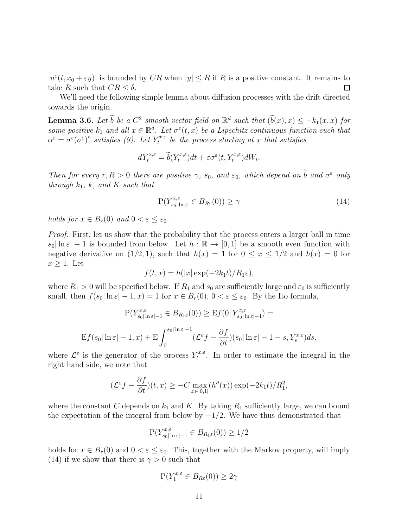$|u^{\varepsilon}(t,x_0+\varepsilon y)|$  is bounded by CR when  $|y| \leq R$  if R is a positive constant. It remains to take R such that  $CR \leq \delta$ .  $\Box$ 

We'll need the following simple lemma about diffusion processes with the drift directed towards the origin.

**Lemma 3.6.** Let  $\widetilde{b}$  be a  $C^2$  smooth vector field on  $\mathbb{R}^d$  such that  $(\widetilde{b}(x), x) \leq -k_1(x, x)$  for some positive  $k_1$  and all  $x \in \mathbb{R}^d$ . Let  $\sigma^{\varepsilon}(t,x)$  be a Lipschitz continuous function such that  $\alpha^{\varepsilon} = \sigma^{\varepsilon}(\sigma^{\varepsilon})^*$  satisfies (9). Let  $Y_t^{x,\varepsilon}$  be the process starting at x that satisfies

$$
dY_t^{x,\varepsilon} = \widetilde{b}(Y_t^{x,\varepsilon})dt + \varepsilon \sigma^{\varepsilon}(t, Y_t^{x,\varepsilon})dW_t.
$$

Then for every  $r, R > 0$  there are positive  $\gamma$ ,  $s_0$ , and  $\varepsilon_0$ , which depend on  $\widetilde{b}$  and  $\sigma^{\varepsilon}$  only through  $k_1$ , k, and K such that

$$
P(Y_{s_0|\ln\varepsilon|}^{x,\varepsilon} \in B_{R\varepsilon}(0)) \ge \gamma \tag{14}
$$

holds for  $x \in B_r(0)$  and  $0 < \varepsilon \leq \varepsilon_0$ .

Proof. First, let us show that the probability that the process enters a larger ball in time  $s_0|\ln \varepsilon| - 1$  is bounded from below. Let  $h : \mathbb{R} \to [0,1]$  be a smooth even function with negative derivative on  $(1/2, 1)$ , such that  $h(x) = 1$  for  $0 \le x \le 1/2$  and  $h(x) = 0$  for  $x \geq 1$ . Let

$$
f(t, x) = h(|x| \exp(-2k_1 t)/R_1 \varepsilon),
$$

where  $R_1 > 0$  will be specified below. If  $R_1$  and  $s_0$  are sufficiently large and  $\varepsilon_0$  is sufficiently small, then  $f(s_0|\ln \varepsilon| - 1, x) = 1$  for  $x \in B_r(0), 0 < \varepsilon \leq \varepsilon_0$ . By the Ito formula,

$$
P(Y_{s_0|\ln \varepsilon|-1}^{x,\varepsilon} \in B_{R_1\varepsilon}(0)) \geq \mathcal{E}f(0, Y_{s_0|\ln \varepsilon|-1}^{x,\varepsilon}) =
$$
  

$$
\mathcal{E}f(s_0|\ln \varepsilon|-1, x) + \mathcal{E} \int_0^{s_0|\ln \varepsilon|-1} (\mathcal{L}^{\varepsilon}f - \frac{\partial f}{\partial t})(s_0|\ln \varepsilon| - 1 - s, Y_s^{x,\varepsilon}) ds,
$$

where  $\mathcal{L}^{\varepsilon}$  is the generator of the process  $Y_t^{x,\varepsilon}$ . In order to estimate the integral in the right hand side, we note that

$$
(\mathcal{L}^{\varepsilon} f - \frac{\partial f}{\partial t})(t, x) \ge -C \max_{x \in [0, 1]} (h''(x)) \exp(-2k_1 t) / R_1^2,
$$

where the constant C depends on  $k_1$  and K. By taking  $R_1$  sufficiently large, we can bound the expectation of the integral from below by  $-1/2$ . We have thus demonstrated that

$$
P(Y_{s_0|\ln\varepsilon|-1}^{x,\varepsilon} \in B_{R_1\varepsilon}(0)) \ge 1/2
$$

holds for  $x \in B_r(0)$  and  $0 < \varepsilon \leq \varepsilon_0$ . This, together with the Markov property, will imply (14) if we show that there is  $\gamma > 0$  such that

$$
\mathbf{P}(Y_1^{x,\varepsilon} \in B_{R\varepsilon}(0)) \ge 2\gamma
$$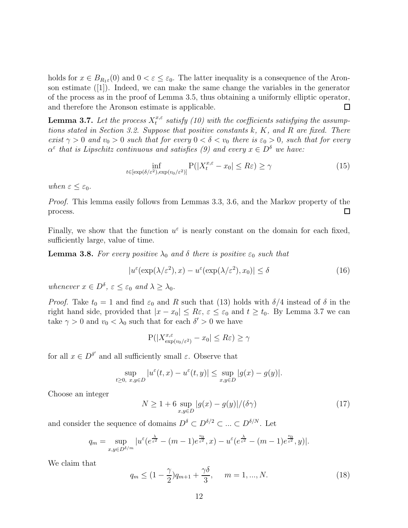holds for  $x \in B_{R_1\varepsilon}(0)$  and  $0 < \varepsilon \leq \varepsilon_0$ . The latter inequality is a consequence of the Aronson estimate ([1]). Indeed, we can make the same change the variables in the generator of the process as in the proof of Lemma 3.5, thus obtaining a uniformly elliptic operator, and therefore the Aronson estimate is applicable.  $\Box$ 

**Lemma 3.7.** Let the process  $X_t^{x,\varepsilon}$  satisfy (10) with the coefficients satisfying the assumptions stated in Section 3.2. Suppose that positive constants k, K, and R are fixed. There exist  $\gamma > 0$  and  $v_0 > 0$  such that for every  $0 < \delta < v_0$  there is  $\varepsilon_0 > 0$ , such that for every  $\alpha^{\varepsilon}$  that is Lipschitz continuous and satisfies (9) and every  $x \in D^{\delta}$  we have:

$$
\inf_{t \in [\exp(\delta/\varepsilon^2), \exp(v_0/\varepsilon^2)]} \mathbf{P}(|X_t^{x,\varepsilon} - x_0| \le R\varepsilon) \ge \gamma \tag{15}
$$

when  $\varepsilon \leq \varepsilon_0$ .

Proof. This lemma easily follows from Lemmas 3.3, 3.6, and the Markov property of the process. □

Finally, we show that the function  $u^{\varepsilon}$  is nearly constant on the domain for each fixed, sufficiently large, value of time.

**Lemma 3.8.** For every positive  $\lambda_0$  and  $\delta$  there is positive  $\varepsilon_0$  such that

$$
|u^{\varepsilon}(\exp(\lambda/\varepsilon^2),x) - u^{\varepsilon}(\exp(\lambda/\varepsilon^2),x_0)| \le \delta
$$
\n(16)

whenever  $x \in D^{\delta}$ ,  $\varepsilon \leq \varepsilon_0$  and  $\lambda \geq \lambda_0$ .

*Proof.* Take  $t_0 = 1$  and find  $\varepsilon_0$  and R such that (13) holds with  $\delta/4$  instead of  $\delta$  in the right hand side, provided that  $|x - x_0| \leq R\varepsilon$ ,  $\varepsilon \leq \varepsilon_0$  and  $t \geq t_0$ . By Lemma 3.7 we can take  $\gamma > 0$  and  $v_0 < \lambda_0$  such that for each  $\delta' > 0$  we have

$$
P(|X_{\exp(v_0/\varepsilon^2)}^{x,\varepsilon} - x_0| \leq R\varepsilon) \geq \gamma
$$

for all  $x \in D^{\delta'}$  and all sufficiently small  $\varepsilon$ . Observe that

$$
\sup_{t\geq 0, x,y\in D} |u^{\varepsilon}(t,x)-u^{\varepsilon}(t,y)| \leq \sup_{x,y\in D} |g(x)-g(y)|.
$$

Choose an integer

$$
N \ge 1 + 6 \sup_{x,y \in D} |g(x) - g(y)| / (\delta \gamma)
$$
\n
$$
(17)
$$

and consider the sequence of domains  $D^{\delta} \subset D^{\delta/2} \subset \dots \subset D^{\delta/N}$ . Let

$$
q_m = \sup_{x,y \in D^{\delta/m}} |u^{\varepsilon}(e^{\frac{\lambda}{\varepsilon^2}} - (m-1)e^{\frac{v_0}{\varepsilon^2}}, x) - u^{\varepsilon}(e^{\frac{\lambda}{\varepsilon^2}} - (m-1)e^{\frac{v_0}{\varepsilon^2}}, y)|.
$$

We claim that

$$
q_m \le (1 - \frac{\gamma}{2})q_{m+1} + \frac{\gamma \delta}{3}, \quad m = 1, ..., N. \tag{18}
$$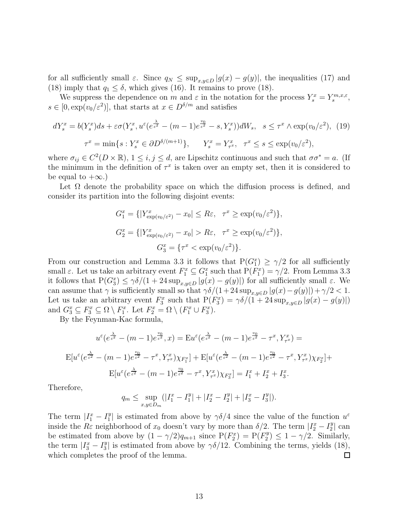for all sufficiently small  $\varepsilon$ . Since  $q_N \leq \sup_{x,y \in D} |g(x) - g(y)|$ , the inequalities (17) and (18) imply that  $q_1 \leq \delta$ , which gives (16). It remains to prove (18).

We suppress the dependence on m and  $\varepsilon$  in the notation for the process  $Y_s^x = Y_s^{m,x,\varepsilon}$ ,  $s \in [0, \exp(v_0/\varepsilon^2)]$ , that starts at  $x \in D^{\delta/m}$  and satisfies

$$
dY_s^x = b(Y_s^x)ds + \varepsilon \sigma(Y_s^x, u^{\varepsilon}(e^{\frac{\lambda}{\varepsilon^2}} - (m-1)e^{\frac{v_0}{\varepsilon^2}} - s, Y_s^x))dW_s, \quad s \le \tau^x \wedge \exp(v_0/\varepsilon^2), \tag{19}
$$

$$
\tau^x = \min\{s : Y_s^x \in \partial D^{\delta/(m+1)}\}, \qquad Y_s^x = Y_{\tau^x}^x, \quad \tau^x \le s \le \exp(v_0/\varepsilon^2),
$$

where  $\sigma_{ij} \in C^2(D \times \mathbb{R})$ ,  $1 \le i, j \le d$ , are Lipschitz continuous and such that  $\sigma \sigma^* = a$ . (If the minimum in the definition of  $\tau^x$  is taken over an empty set, then it is considered to be equal to  $+\infty$ .)

Let  $\Omega$  denote the probability space on which the diffusion process is defined, and consider its partition into the following disjoint events:

$$
G_1^x = \{ |Y_{\exp(v_0/\varepsilon^2)}^x - x_0| \le R\varepsilon, \ \tau^x \ge \exp(v_0/\varepsilon^2) \},
$$
  

$$
G_2^x = \{ |Y_{\exp(v_0/\varepsilon^2)}^x - x_0| > R\varepsilon, \ \tau^x \ge \exp(v_0/\varepsilon^2) \},
$$
  

$$
G_3^x = \{ \tau^x < \exp(v_0/\varepsilon^2) \}.
$$

From our construction and Lemma 3.3 it follows that  $P(G_1^x) \geq \gamma/2$  for all sufficiently small  $\varepsilon$ . Let us take an arbitrary event  $F_1^x \subseteq G_1^x$  such that  $P(F_1^x) = \gamma/2$ . From Lemma 3.3 it follows that  $P(G_3^x) \leq \gamma \delta/(1 + 24 \sup_{x,y \in D} |g(x) - g(y)|)$  for all sufficiently small  $\varepsilon$ . We can assume that  $\gamma$  is sufficiently small so that  $\gamma \delta/(1+24 \sup_{x,y\in D}|g(x)-g(y)|)+\gamma/2 < 1$ . Let us take an arbitrary event  $F_3^x$  such that  $P(F_3^x) = \gamma \delta / (1 + 24 \sup_{x,y \in D} |g(x) - g(y)|)$ and  $G_3^x \subseteq F_3^x \subseteq \Omega \setminus F_1^x$ . Let  $F_2^x = \Omega \setminus (F_1^x \cup F_3^x)$ .

By the Feynman-Kac formula,

$$
u^{\varepsilon}(e^{\frac{\lambda}{\varepsilon^{2}}} - (m-1)e^{\frac{v_{0}}{\varepsilon^{2}}}, x) = \mathbf{E}u^{\varepsilon}(e^{\frac{\lambda}{\varepsilon^{2}}} - (m-1)e^{\frac{v_{0}}{\varepsilon^{2}}} - \tau^{x}, Y_{\tau^{x}}^{x}) =
$$
  

$$
\mathbf{E}[u^{\varepsilon}(e^{\frac{\lambda}{\varepsilon^{2}}} - (m-1)e^{\frac{v_{0}}{\varepsilon^{2}}} - \tau^{x}, Y_{\tau^{x}}^{x})\chi_{F_{1}^{x}}] + \mathbf{E}[u^{\varepsilon}(e^{\frac{\lambda}{\varepsilon^{2}}} - (m-1)e^{\frac{v_{0}}{\varepsilon^{2}}} - \tau^{x}, Y_{\tau^{x}}^{x})\chi_{F_{2}^{x}}] +
$$
  

$$
\mathbf{E}[u^{\varepsilon}(e^{\frac{\lambda}{\varepsilon^{2}}} - (m-1)e^{\frac{v_{0}}{\varepsilon^{2}}} - \tau^{x}, Y_{\tau^{x}}^{x})\chi_{F_{3}^{x}}] = I_{1}^{x} + I_{2}^{x} + I_{3}^{x}.
$$

Therefore,

$$
q_m \le \sup_{x,y \in D_m} (|I_1^x - I_1^y| + |I_2^x - I_2^y| + |I_3^x - I_3^y|).
$$

The term  $|I_1^x - I_1^y|$  is estimated from above by  $\gamma \delta/4$  since the value of the function  $u^{\varepsilon}$ inside the  $R\varepsilon$  neighborhood of  $x_0$  doesn't vary by more than  $\delta/2$ . The term  $|I_2^x - I_2^y|$  can be estimated from above by  $(1 - \gamma/2)q_{m+1}$  since  $P(F_2^x) = P(F_2^y) \le 1 - \gamma/2$ . Similarly, the term  $|I_3^x - I_3^y|$  is estimated from above by  $\gamma \delta/12$ . Combining the terms, yields (18), which completes the proof of the lemma.  $\Box$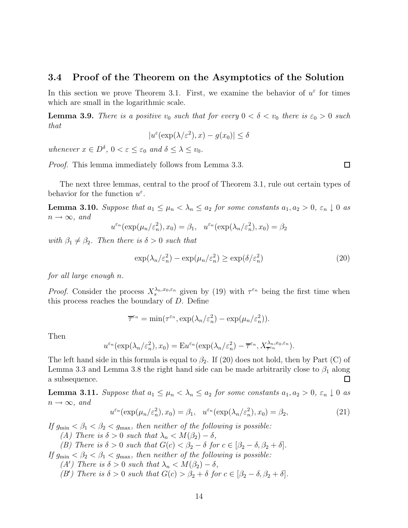#### **3.4 Proof of the Theorem on the Asymptotics of the Solution**

In this section we prove Theorem 3.1. First, we examine the behavior of  $u^{\varepsilon}$  for times which are small in the logarithmic scale.

**Lemma 3.9.** There is a positive  $v_0$  such that for every  $0 < \delta < v_0$  there is  $\varepsilon_0 > 0$  such that

$$
|u^{\varepsilon}(\exp(\lambda/\varepsilon^2),x) - g(x_0)| \le \delta
$$

whenever  $x \in D^{\delta}$ ,  $0 < \varepsilon \leq \varepsilon_0$  and  $\delta \leq \lambda \leq v_0$ .

Proof. This lemma immediately follows from Lemma 3.3.

 $\Box$ 

The next three lemmas, central to the proof of Theorem 3.1, rule out certain types of behavior for the function  $u^{\varepsilon}$ .

**Lemma 3.10.** Suppose that  $a_1 \leq \mu_n < \lambda_n \leq a_2$  for some constants  $a_1, a_2 > 0$ ,  $\varepsilon_n \downarrow 0$  as  $n \rightarrow \infty$ , and

$$
u^{\varepsilon_n}(\exp(\mu_n/\varepsilon_n^2), x_0) = \beta_1, \quad u^{\varepsilon_n}(\exp(\lambda_n/\varepsilon_n^2), x_0) = \beta_2
$$

with  $\beta_1 \neq \beta_2$ . Then there is  $\delta > 0$  such that

$$
\exp(\lambda_n/\varepsilon_n^2) - \exp(\mu_n/\varepsilon_n^2) \ge \exp(\delta/\varepsilon_n^2)
$$
\n(20)

for all large enough n.

*Proof.* Consider the process  $X_s^{\lambda_n,x_0,\varepsilon_n}$  given by (19) with  $\tau^{\varepsilon_n}$  being the first time when this process reaches the boundary of  $D$ . Define

 $\overline{\tau}^{\varepsilon_n} = \min(\tau^{\varepsilon_n}, \exp(\lambda_n/\varepsilon_n^2) - \exp(\mu_n/\varepsilon_n^2)).$ 

Then

$$
u^{\varepsilon_n}(\exp(\lambda_n/\varepsilon_n^2), x_0) = \mathbf{E}u^{\varepsilon_n}(\exp(\lambda_n/\varepsilon_n^2) - \overline{\tau}^{\varepsilon_n}, X_{\overline{\tau}^{\varepsilon_n}}^{\lambda_n, x_0, \varepsilon_n}).
$$

The left hand side in this formula is equal to  $\beta_2$ . If (20) does not hold, then by Part (C) of Lemma 3.3 and Lemma 3.8 the right hand side can be made arbitrarily close to  $\beta_1$  along a subsequence.  $\Box$ 

**Lemma 3.11.** Suppose that  $a_1 \leq \mu_n < \lambda_n \leq a_2$  for some constants  $a_1, a_2 > 0$ ,  $\varepsilon_n \downarrow 0$  as  $n \rightarrow \infty$ , and

$$
u^{\varepsilon_n}(\exp(\mu_n/\varepsilon_n^2), x_0) = \beta_1, \quad u^{\varepsilon_n}(\exp(\lambda_n/\varepsilon_n^2), x_0) = \beta_2,\tag{21}
$$

If  $g_{\min} < \beta_1 < \beta_2 < g_{\max}$ , then neither of the following is possible:

(A) There is  $\delta > 0$  such that  $\lambda_n < M(\beta_2) - \delta$ ,

(B) There is  $\delta > 0$  such that  $G(c) < \beta_2 - \delta$  for  $c \in [\beta_2 - \delta, \beta_2 + \delta]$ .

If  $g_{\min} < \beta_2 < \beta_1 < g_{\max}$ , then neither of the following is possible:

- (A') There is  $\delta > 0$  such that  $\lambda_n < M(\beta_2) \delta$ ,
- (B') There is  $\delta > 0$  such that  $G(c) > \beta_2 + \delta$  for  $c \in [\beta_2 \delta, \beta_2 + \delta]$ .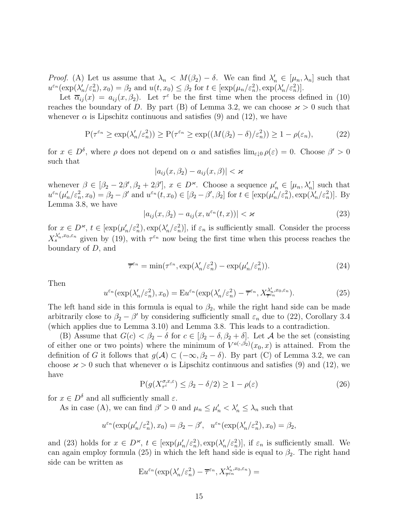*Proof.* (A) Let us assume that  $\lambda_n < M(\beta_2) - \delta$ . We can find  $\lambda'_n \in [\mu_n, \lambda_n]$  such that  $u^{\varepsilon_n}(\exp(\lambda'_n/\varepsilon_n^2), x_0) = \beta_2$  and  $u(t, x_0) \leq \beta_2$  for  $t \in [\exp(\mu_n/\varepsilon_n^2), \exp(\lambda'_n/\varepsilon_n^2)].$ 

Let  $\overline{\alpha}_{ij}(x) = a_{ij}(x,\beta_2)$ . Let  $\tau^{\varepsilon}$  be the first time when the process defined in (10) reaches the boundary of D. By part (B) of Lemma 3.2, we can choose  $\varkappa > 0$  such that whenever  $\alpha$  is Lipschitz continuous and satisfies (9) and (12), we have

$$
P(\tau^{\varepsilon_n} \ge \exp(\lambda_n'/\varepsilon_n^2)) \ge P(\tau^{\varepsilon_n} \ge \exp((M(\beta_2) - \delta)/\varepsilon_n^2)) \ge 1 - \rho(\varepsilon_n),\tag{22}
$$

for  $x \in D^{\delta}$ , where  $\rho$  does not depend on  $\alpha$  and satisfies  $\lim_{\varepsilon \downarrow 0} \rho(\varepsilon) = 0$ . Choose  $\beta' > 0$ such that

$$
|a_{ij}(x,\beta_2)-a_{ij}(x,\beta)|<\varkappa
$$

whenever  $\beta \in [\beta_2 - 2\beta', \beta_2 + 2\beta'], x \in D^{\infty}$ . Choose a sequence  $\mu'_n \in [\mu_n, \lambda'_n]$  such that  $u^{\varepsilon_n}(\mu'_n/\varepsilon_n^2, x_0) = \beta_2 - \beta'$  and  $u^{\varepsilon_n}(t, x_0) \in [\beta_2 - \beta', \beta_2]$  for  $t \in [\exp(\mu'_n/\varepsilon_n^2), \exp(\lambda'_n/\varepsilon_n^2)]$ . By Lemma 3.8, we have

$$
|a_{ij}(x,\beta_2) - a_{ij}(x,u^{\varepsilon_n}(t,x))| < \varkappa \tag{23}
$$

for  $x \in D^{\varkappa}$ ,  $t \in [\exp(\mu_n'/\varepsilon_n^2), \exp(\lambda_n'/\varepsilon_n^2)],$  if  $\varepsilon_n$  is sufficiently small. Consider the process  $X_s^{\lambda'_n,x_0,\varepsilon_n}$  given by (19), with  $\tau^{\varepsilon_n}$  now being the first time when this process reaches the boundary of D, and

$$
\overline{\tau}^{\varepsilon_n} = \min(\tau^{\varepsilon_n}, \exp(\lambda'_n/\varepsilon_n^2) - \exp(\mu'_n/\varepsilon_n^2)).\tag{24}
$$

Then

$$
u^{\varepsilon_n}(\exp(\lambda'_n/\varepsilon_n^2), x_0) = \mathbf{E}u^{\varepsilon_n}(\exp(\lambda'_n/\varepsilon_n^2) - \overline{\tau}^{\varepsilon_n}, X_{\overline{\tau}^{\varepsilon_n}}^{\lambda'_n, x_0, \varepsilon_n}).\tag{25}
$$

The left hand side in this formula is equal to  $\beta_2$ , while the right hand side can be made arbitrarily close to  $\beta_2 - \beta'$  by considering sufficiently small  $\varepsilon_n$  due to (22), Corollary 3.4 (which applies due to Lemma 3.10) and Lemma 3.8. This leads to a contradiction.

(B) Assume that  $G(c) < \beta_2 - \delta$  for  $c \in [\beta_2 - \delta, \beta_2 + \delta]$ . Let A be the set (consisting of either one or two points) where the minimum of  $V^{a(\cdot,\beta_2)}(x_0, x)$  is attained. From the definition of G it follows that  $g(\mathcal{A}) \subset (-\infty, \beta_2 - \delta)$ . By part (C) of Lemma 3.2, we can choose  $x > 0$  such that whenever  $\alpha$  is Lipschitz continuous and satisfies (9) and (12), we have

$$
P(g(X_{\tau^{\varepsilon}}^{\sigma,x,\varepsilon}) \le \beta_2 - \delta/2) \ge 1 - \rho(\varepsilon)
$$
\n(26)

for  $x \in D^{\delta}$  and all sufficiently small  $\varepsilon$ .

As in case (A), we can find  $\beta' > 0$  and  $\mu_n \leq \mu'_n < \lambda'_n \leq \lambda_n$  such that

$$
u^{\varepsilon_n}(\exp(\mu'_n/\varepsilon_n^2), x_0) = \beta_2 - \beta', \quad u^{\varepsilon_n}(\exp(\lambda'_n/\varepsilon_n^2), x_0) = \beta_2,
$$

and (23) holds for  $x \in D^{\infty}$ ,  $t \in [\exp(\mu'_n/\varepsilon_n^2), \exp(\lambda'_n/\varepsilon_n^2)]$ , if  $\varepsilon_n$  is sufficiently small. We can again employ formula (25) in which the left hand side is equal to  $\beta_2$ . The right hand side can be written as

$$
\mathrm{E}u^{\varepsilon_n}(\exp(\lambda'_n/\varepsilon_n^2)-\overline{\tau}^{\varepsilon_n},X_{\overline{\tau}^{\varepsilon_n}}^{\lambda'_n,x_0,\varepsilon_n})=
$$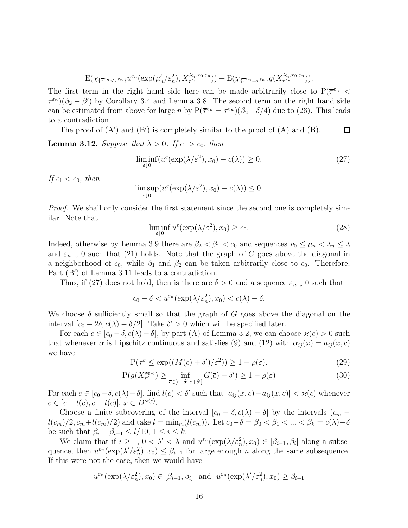$$
\mathbf{E}(\chi_{\{\overline{\tau}^{\varepsilon_n} < \tau^{\varepsilon_n}\}} u^{\varepsilon_n}(\exp(\mu_n'/\varepsilon_n^2), X_{\overline{\tau}^{\varepsilon_n}}^{\lambda_n', x_0, \varepsilon_n})) + \mathbf{E}(\chi_{\{\overline{\tau}^{\varepsilon_n} = \tau^{\varepsilon_n}\}} g(X_{\tau^{\varepsilon_n}}^{\lambda_n', x_0, \varepsilon_n})).
$$

The first term in the right hand side here can be made arbitrarily close to  $P(\overline{\tau}^{\varepsilon_n}$  <  $\tau^{\varepsilon_n}$ )( $\beta_2 - \beta'$ ) by Corollary 3.4 and Lemma 3.8. The second term on the right hand side can be estimated from above for large n by  $P(\overline{\tau}^{\varepsilon_n} = \tau^{\varepsilon_n})(\beta_2 - \delta/4)$  due to (26). This leads to a contradiction.

The proof of  $(A')$  and  $(B')$  is completely similar to the proof of  $(A)$  and  $(B)$ .  $\Box$ 

**Lemma 3.12.** Suppose that  $\lambda > 0$ . If  $c_1 > c_0$ , then

$$
\liminf_{\varepsilon \downarrow 0} (u^{\varepsilon}(\exp(\lambda/\varepsilon^2), x_0) - c(\lambda)) \ge 0. \tag{27}
$$

If  $c_1 < c_0$ , then

$$
\limsup_{\varepsilon \downarrow 0} (u^{\varepsilon}(\exp(\lambda/\varepsilon^2), x_0) - c(\lambda)) \le 0.
$$

Proof. We shall only consider the first statement since the second one is completely similar. Note that

$$
\liminf_{\varepsilon \downarrow 0} u^{\varepsilon}(\exp(\lambda/\varepsilon^2), x_0) \ge c_0. \tag{28}
$$

Indeed, otherwise by Lemma 3.9 there are  $\beta_2 < \beta_1 < c_0$  and sequences  $v_0 \leq \mu_n < \lambda_n \leq \lambda$ and  $\varepsilon_n \downarrow 0$  such that (21) holds. Note that the graph of G goes above the diagonal in a neighborhood of  $c_0$ , while  $\beta_1$  and  $\beta_2$  can be taken arbitrarily close to  $c_0$ . Therefore, Part (B') of Lemma 3.11 leads to a contradiction.

Thus, if (27) does not hold, then is there are  $\delta > 0$  and a sequence  $\varepsilon_n \downarrow 0$  such that

$$
c_0 - \delta < u^{\varepsilon_n}(\exp(\lambda/\varepsilon_n^2), x_0) < c(\lambda) - \delta.
$$

We choose  $\delta$  sufficiently small so that the graph of G goes above the diagonal on the interval  $[c_0 - 2\delta, c(\lambda) - \delta/2]$ . Take  $\delta' > 0$  which will be specified later.

For each  $c \in [c_0 - \delta, c(\lambda) - \delta]$ , by part (A) of Lemma 3.2, we can choose  $\varkappa(c) > 0$  such that whenever  $\alpha$  is Lipschitz continuous and satisfies (9) and (12) with  $\overline{\alpha}_{ij}(x) = a_{ij}(x, c)$ we have

$$
P(\tau^{\varepsilon} \le \exp((M(c) + \delta')/\varepsilon^2)) \ge 1 - \rho(\varepsilon). \tag{29}
$$

$$
P(g(X_{\tau^{\varepsilon}}^{x_0,\varepsilon}) \ge \inf_{\overline{c} \in [c-\delta', c+\delta']} G(\overline{c}) - \delta') \ge 1 - \rho(\varepsilon)
$$
\n(30)

For each  $c \in [c_0-\delta, c(\lambda)-\delta]$ , find  $l(c) < \delta'$  such that  $|a_{ij}(x, c) - a_{ij}(x, \overline{c})| < \varkappa(c)$  whenever  $\overline{c} \in [c-l(c), c+l(c)], x \in D^{\varkappa(c)}.$ 

Choose a finite subcovering of the interval  $[c_0 - \delta, c(\lambda) - \delta]$  by the intervals  $(c_m$  $l(c_m)/2$ ,  $c_m+l(c_m)/2$  and take  $l = \min_m(l(c_m))$ . Let  $c_0-\delta = \beta_0 < \beta_1 < ... < \beta_k = c(\lambda)-\delta$ be such that  $\beta_i - \beta_{i-1} \leq l/10, 1 \leq i \leq k$ .

We claim that if  $i \geq 1$ ,  $0 < \lambda' < \lambda$  and  $u^{\varepsilon_n}(\exp(\lambda/\varepsilon_n^2), x_0) \in [\beta_{i-1}, \beta_i]$  along a subsequence, then  $u^{\varepsilon_n}(\exp(\lambda'/\varepsilon_n^2), x_0) \leq \beta_{i-1}$  for large enough n along the same subsequence. If this were not the case, then we would have

$$
u^{\varepsilon_n}(\exp(\lambda/\varepsilon_n^2), x_0) \in [\beta_{i-1}, \beta_i]
$$
 and  $u^{\varepsilon_n}(\exp(\lambda'/\varepsilon_n^2), x_0) \ge \beta_{i-1}$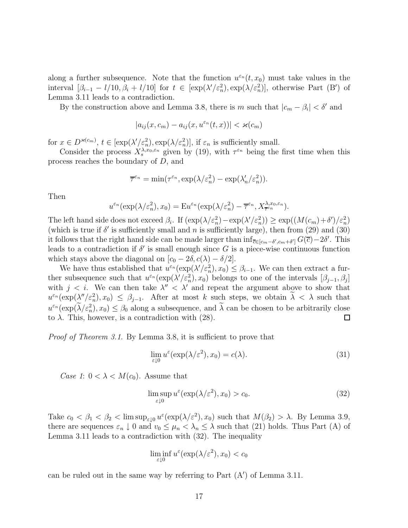along a further subsequence. Note that the function  $u^{\varepsilon_n}(t, x_0)$  must take values in the interval  $[\beta_{i-1} - l/10, \beta_i + l/10]$  for  $t \in [\exp(\lambda'/\varepsilon_n^2), \exp(\lambda/\varepsilon_n^2)]$ , otherwise Part (B') of Lemma 3.11 leads to a contradiction.

By the construction above and Lemma 3.8, there is m such that  $|c_m - \beta_i| < \delta'$  and

$$
|a_{ij}(x,c_m) - a_{ij}(x,u^{\varepsilon_n}(t,x))| < \varkappa(c_m)
$$

for  $x \in D^{\varkappa(c_m)}$ ,  $t \in [\exp(\lambda'/\varepsilon_n^2), \exp(\lambda/\varepsilon_n^2)]$ , if  $\varepsilon_n$  is sufficiently small.

Consider the process  $X_s^{\lambda,x_0,\varepsilon_n}$  given by (19), with  $\tau^{\varepsilon_n}$  being the first time when this process reaches the boundary of D, and

$$
\overline{\tau}^{\varepsilon_n} = \min(\tau^{\varepsilon_n}, \exp(\lambda/\varepsilon_n^2) - \exp(\lambda_n'/\varepsilon_n^2)).
$$

Then

$$
u^{\varepsilon_n}(\exp(\lambda/\varepsilon_n^2), x_0) = \mathbf{E} u^{\varepsilon_n}(\exp(\lambda/\varepsilon_n^2) - \overline{\tau}^{\varepsilon_n}, X_{\overline{\tau}^{\varepsilon_n}}^{\lambda, x_0, \varepsilon_n}).
$$

The left hand side does not exceed  $\beta_i$ . If  $(\exp(\lambda/\varepsilon_n^2) - \exp(\lambda'/\varepsilon_n^2)) \geq \exp((M(c_m) + \delta')/\varepsilon_n^2)$ (which is true if  $\delta'$  is sufficiently small and n is sufficiently large), then from (29) and (30) it follows that the right hand side can be made larger than  $\inf_{\overline{c} \in [c_m - \delta', c_m + \delta']} G(\overline{c}) - 2\delta'.$  This leads to a contradiction if  $\delta'$  is small enough since G is a piece-wise continuous function which stays above the diagonal on  $[c_0 - 2\delta, c(\lambda) - \delta/2]$ .

We have thus established that  $u^{\varepsilon_n}(\exp(\lambda'/\varepsilon_n^2), x_0) \leq \beta_{i-1}$ . We can then extract a further subsequence such that  $u^{\varepsilon_n}(\exp(\lambda'/\varepsilon_n^2), x_0)$  belongs to one of the intervals  $[\beta_{j-1}, \beta_j]$ with  $j < i$ . We can then take  $\lambda'' < \lambda'$  and repeat the argument above to show that  $u^{\varepsilon_n}(\exp(\lambda''/\varepsilon_n^2), x_0) \leq \beta_{j-1}$ . After at most k such steps, we obtain  $\lambda < \lambda$  such that  $u^{\varepsilon_n}(\exp(\lambda/\varepsilon_n^2), x_0) \leq \beta_0$  along a subsequence, and  $\lambda$  can be chosen to be arbitrarily close to  $\lambda$ . This, however, is a contradiction with (28).  $\Box$ 

Proof of Theorem 3.1. By Lemma 3.8, it is sufficient to prove that

$$
\lim_{\varepsilon \downarrow 0} u^{\varepsilon}(\exp(\lambda/\varepsilon^2), x_0) = c(\lambda). \tag{31}
$$

Case 1:  $0 < \lambda < M(c_0)$ . Assume that

$$
\limsup_{\varepsilon \downarrow 0} u^{\varepsilon}(\exp(\lambda/\varepsilon^2), x_0) > c_0.
$$
\n(32)

Take  $c_0 < \beta_1 < \beta_2 < \limsup_{\varepsilon \downarrow 0} u^{\varepsilon}(\exp(\lambda/\varepsilon^2), x_0)$  such that  $M(\beta_2) > \lambda$ . By Lemma 3.9, there are sequences  $\varepsilon_n \downarrow 0$  and  $v_0 \leq \mu_n < \lambda_n \leq \lambda$  such that (21) holds. Thus Part (A) of Lemma 3.11 leads to a contradiction with (32). The inequality

$$
\liminf_{\varepsilon \downarrow 0} u^{\varepsilon}(\exp(\lambda/\varepsilon^2), x_0) < c_0
$$

can be ruled out in the same way by referring to Part  $(A')$  of Lemma 3.11.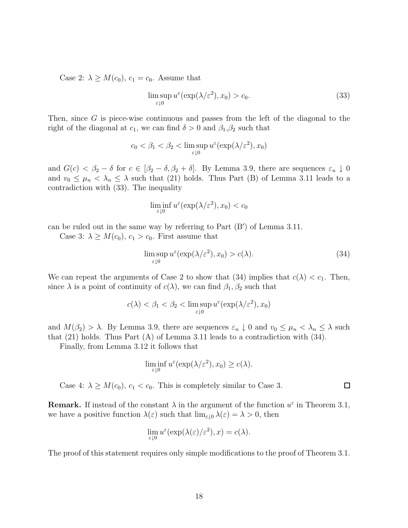Case 2:  $\lambda \geq M(c_0)$ ,  $c_1 = c_0$ . Assume that

$$
\limsup_{\varepsilon \downarrow 0} u^{\varepsilon}(\exp(\lambda/\varepsilon^2), x_0) > c_0.
$$
\n(33)

Then, since G is piece-wise continuous and passes from the left of the diagonal to the right of the diagonal at  $c_1$ , we can find  $\delta > 0$  and  $\beta_1, \beta_2$  such that

$$
c_0 < \beta_1 < \beta_2 < \limsup_{\varepsilon \downarrow 0} u^{\varepsilon}(\exp(\lambda/\varepsilon^2), x_0)
$$

and  $G(c) < \beta_2 - \delta$  for  $c \in [\beta_2 - \delta, \beta_2 + \delta]$ . By Lemma 3.9, there are sequences  $\varepsilon_n \downarrow 0$ and  $v_0 \leq \mu_n < \lambda_n \leq \lambda$  such that (21) holds. Thus Part (B) of Lemma 3.11 leads to a contradiction with (33). The inequality

$$
\liminf_{\varepsilon \downarrow 0} u^{\varepsilon}(\exp(\lambda/\varepsilon^2), x_0) < c_0
$$

can be ruled out in the same way by referring to Part (B') of Lemma 3.11.

Case 3:  $\lambda \geq M(c_0), c_1 > c_0$ . First assume that

$$
\limsup_{\varepsilon \downarrow 0} u^{\varepsilon}(\exp(\lambda/\varepsilon^2), x_0) > c(\lambda). \tag{34}
$$

We can repeat the arguments of Case 2 to show that (34) implies that  $c(\lambda) < c_1$ . Then, since  $\lambda$  is a point of continuity of  $c(\lambda)$ , we can find  $\beta_1, \beta_2$  such that

$$
c(\lambda) < \beta_1 < \beta_2 < \limsup_{\varepsilon \downarrow 0} u^{\varepsilon}(\exp(\lambda/\varepsilon^2), x_0)
$$

and  $M(\beta_2) > \lambda$ . By Lemma 3.9, there are sequences  $\varepsilon_n \downarrow 0$  and  $v_0 \leq \mu_n < \lambda_n \leq \lambda$  such that (21) holds. Thus Part (A) of Lemma 3.11 leads to a contradiction with (34).

Finally, from Lemma 3.12 it follows that

$$
\liminf_{\varepsilon \downarrow 0} u^{\varepsilon}(\exp(\lambda/\varepsilon^2), x_0) \ge c(\lambda).
$$

Case 4:  $\lambda \geq M(c_0)$ ,  $c_1 < c_0$ . This is completely similar to Case 3.

**Remark.** If instead of the constant  $\lambda$  in the argument of the function  $u^{\varepsilon}$  in Theorem 3.1, we have a positive function  $\lambda(\varepsilon)$  such that  $\lim_{\varepsilon\downarrow 0} \lambda(\varepsilon) = \lambda > 0$ , then

$$
\lim_{\varepsilon \downarrow 0} u^{\varepsilon}(\exp(\lambda(\varepsilon)/\varepsilon^2), x) = c(\lambda).
$$

The proof of this statement requires only simple modifications to the proof of Theorem 3.1.

 $\Box$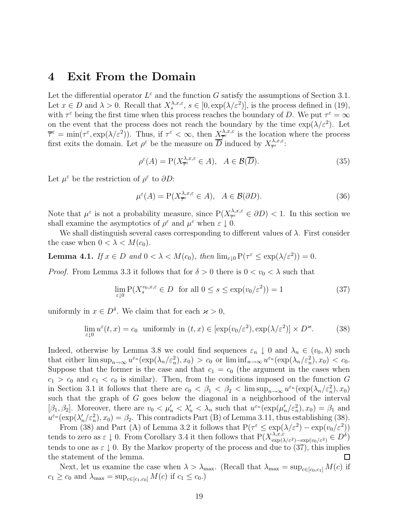### **4 Exit From the Domain**

Let the differential operator  $L^{\varepsilon}$  and the function G satisfy the assumptions of Section 3.1. Let  $x \in D$  and  $\lambda > 0$ . Recall that  $X_s^{\lambda, x, \varepsilon}$ ,  $s \in [0, \exp(\lambda/\varepsilon^2)]$ , is the process defined in (19), with  $\tau^{\varepsilon}$  being the first time when this process reaches the boundary of D. We put  $\tau^{\varepsilon} = \infty$ on the event that the process does not reach the boundary by the time  $\exp(\lambda/\varepsilon^2)$ . Let  $\overline{\tau}^{\varepsilon} = \min(\tau^{\varepsilon}, \exp(\lambda/\varepsilon^2)).$  Thus, if  $\tau^{\varepsilon} < \infty$ , then  $\underline{X}^{\lambda,x,\varepsilon}_{\overline{\tau}^{\varepsilon}}$  is the location where the process first exits the domain. Let  $\rho^{\varepsilon}$  be the measure on  $\overline{D}$  induced by  $X_{\overline{\tau}^{\varepsilon}}^{\lambda,x,\varepsilon}$ .

$$
\rho^{\varepsilon}(A) = \mathcal{P}(X^{^,\mathbf{x},\mathbf{c}}_{\overline{\tau}^{\varepsilon}} \in A), \quad A \in \mathcal{B}(\overline{D}). \tag{35}
$$

Let  $\mu^{\varepsilon}$  be the restriction of  $\rho^{\varepsilon}$  to  $\partial D$ :

$$
\mu^{\varepsilon}(A) = \mathcal{P}(X_{\overline{\tau}^{\varepsilon}}^{\lambda, x, \varepsilon} \in A), \quad A \in \mathcal{B}(\partial D). \tag{36}
$$

Note that  $\mu^{\varepsilon}$  is not a probability measure, since  $P(X_{\overline{\tau}^{\varepsilon}}^{\lambda,x,\varepsilon} \in \partial D) < 1$ . In this section we shall examine the asymptotics of  $\rho^{\varepsilon}$  and  $\mu^{\varepsilon}$  when  $\varepsilon \downarrow 0$ .

We shall distinguish several cases corresponding to different values of  $\lambda$ . First consider the case when  $0 < \lambda < M(c_0)$ .

**Lemma 4.1.** If  $x \in D$  and  $0 < \lambda < M(c_0)$ , then  $\lim_{\varepsilon \downarrow 0} P(\tau^{\varepsilon} \leq \exp(\lambda/\varepsilon^2)) = 0$ .

*Proof.* From Lemma 3.3 it follows that for  $\delta > 0$  there is  $0 < v_0 < \lambda$  such that

$$
\lim_{\varepsilon \downarrow 0} \mathcal{P}(X_s^{v_0, x, \varepsilon} \in D \text{ for all } 0 \le s \le \exp(v_0/\varepsilon^2)) = 1 \tag{37}
$$

uniformly in  $x \in D^{\delta}$ . We claim that for each  $x > 0$ ,

$$
\lim_{\varepsilon \downarrow 0} u^{\varepsilon}(t, x) = c_0 \text{ uniformly in } (t, x) \in [\exp(v_0/\varepsilon^2), \exp(\lambda/\varepsilon^2)] \times D^{\varepsilon}. \tag{38}
$$

Indeed, otherwise by Lemma 3.8 we could find sequences  $\varepsilon_n \downarrow 0$  and  $\lambda_n \in (v_0, \lambda)$  such that either  $\limsup_{n\to\infty}u^{\varepsilon_n}(\exp(\lambda_n/\varepsilon_n^2),x_0)>c_0$  or  $\liminf_{n\to\infty}u^{\varepsilon_n}(\exp(\lambda_n/\varepsilon_n^2),x_0)< c_0$ . Suppose that the former is the case and that  $c_1 = c_0$  (the argument in the cases when  $c_1 > c_0$  and  $c_1 < c_0$  is similar). Then, from the conditions imposed on the function G in Section 3.1 it follows that there are  $c_0 < \beta_1 < \beta_2 < \limsup_{n \to \infty} u^{\varepsilon_n}(\exp(\lambda_n/\varepsilon_n^2), x_0)$ such that the graph of G goes below the diagonal in a neighborhood of the interval [ $\beta_1, \beta_2$ ]. Moreover, there are  $v_0 < \mu'_n < \lambda'_n < \lambda_n$  such that  $u^{\varepsilon_n}(\exp(\mu'_n/\varepsilon_n^2), x_0) = \beta_1$  and  $u^{\varepsilon_n}(\exp(\lambda'_n/\varepsilon_n^2), x_0) = \beta_2$ . This contradicts Part (B) of Lemma 3.11, thus establishing (38).

From (38) and Part (A) of Lemma 3.2 it follows that  $P(\tau^{\varepsilon} \leq \exp(\lambda/\varepsilon^2) - \exp(v_0/\varepsilon^2))$ tends to zero as  $\varepsilon \downarrow 0$ . From Corollary 3.4 it then follows that  $P(X_{\exp(\lambda/\varepsilon^2)-\exp(v_0/\varepsilon^2)}^{\lambda,x,\varepsilon} \in D^{\delta})$ tends to one as  $\varepsilon \downarrow 0$ . By the Markov property of the process and due to (37), this implies the statement of the lemma.  $\Box$ 

Next, let us examine the case when  $\lambda > \lambda_{\text{max}}$ . (Recall that  $\lambda_{\text{max}} = \sup_{c \in [c_0, c_1]} M(c)$  if  $c_1 \ge c_0$  and  $\lambda_{\max} = \sup_{c \in [c_1, c_0]} M(c)$  if  $c_1 \le c_0$ .)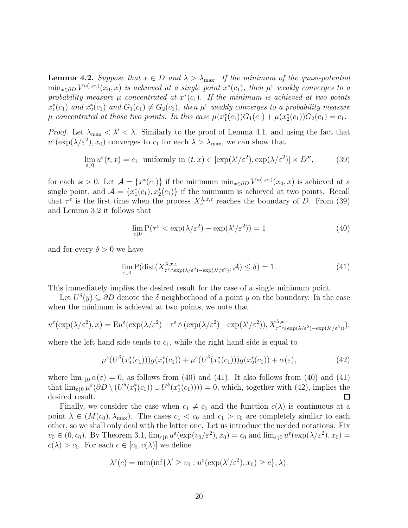**Lemma 4.2.** Suppose that  $x \in D$  and  $\lambda > \lambda_{\text{max}}$ . If the minimum of the quasi-potential  $\min_{x \in \partial D} V^{a(\cdot,c_1)}(x_0,x)$  is achieved at a single point  $x^*(c_1)$ , then  $\mu^{\varepsilon}$  weakly converges to a probability measure  $\mu$  concentrated at  $x^*(c_1)$ . If the minimum is achieved at two points  $x_1^*(c_1)$  and  $x_2^*(c_1)$  and  $G_1(c_1) \neq G_2(c_1)$ , then  $\mu^{\varepsilon}$  weakly converges to a probability measure  $\mu$  concentrated at those two points. In this case  $\mu(x_1^*(c_1))G_1(c_1) + \mu(x_2^*(c_1))G_2(c_1) = c_1$ .

*Proof.* Let  $\lambda_{\text{max}} < \lambda' < \lambda$ . Similarly to the proof of Lemma 4.1, and using the fact that  $u^{\varepsilon}(\exp(\lambda/\varepsilon^2), x_0)$  converges to  $c_1$  for each  $\lambda > \lambda_{\max}$ , we can show that

$$
\lim_{\varepsilon \downarrow 0} u^{\varepsilon}(t, x) = c_1 \text{ uniformly in } (t, x) \in [\exp(\lambda'/\varepsilon^2), \exp(\lambda/\varepsilon^2)] \times D^{\varkappa}, \tag{39}
$$

for each  $\varkappa > 0$ . Let  $\mathcal{A} = \{x^*(c_1)\}\$ if the minimum min<sub> $x \in \partial D$ </sub>  $V^{a(\cdot,c_1)}(x_0, x)$  is achieved at a single point, and  $\mathcal{A} = \{x_1^*(c_1), x_2^*(c_1)\}\$ if the minimum is achieved at two points. Recall that  $\tau^{\varepsilon}$  is the first time when the process  $X_s^{\lambda,x,\varepsilon}$  reaches the boundary of D. From (39) and Lemma 3.2 it follows that

$$
\lim_{\varepsilon \downarrow 0} \mathcal{P}(\tau^{\varepsilon} < \exp(\lambda/\varepsilon^2) - \exp(\lambda'/\varepsilon^2)) = 1 \tag{40}
$$

and for every  $\delta > 0$  we have

$$
\lim_{\varepsilon \downarrow 0} \mathbf{P}(\text{dist}(X^{\lambda,x,\varepsilon}_{\tau^{\varepsilon} \wedge \exp(\lambda/\varepsilon^2) - \exp(\lambda'/\varepsilon^2)}, \mathcal{A}) \le \delta) = 1. \tag{41}
$$

This immediately implies the desired result for the case of a single minimum point.

Let  $U^{\delta}(y) \subseteq \partial D$  denote the  $\delta$  neighborhood of a point y on the boundary. In the case when the minimum is achieved at two points, we note that

$$
u^{\varepsilon}(\exp(\lambda/\varepsilon^{2}),x)=Eu^{\varepsilon}(\exp(\lambda/\varepsilon^{2})-\tau^{\varepsilon}\wedge(\exp(\lambda/\varepsilon^{2})-\exp(\lambda'/\varepsilon^{2})),X_{\tau^{\varepsilon}\wedge(\exp(\lambda/\varepsilon^{2})-\exp(\lambda'/\varepsilon^{2}))}^{\lambda,x,\varepsilon}),
$$

where the left hand side tends to  $c_1$ , while the right hand side is equal to

$$
\mu^{\varepsilon}(U^{\delta}(x_1^*(c_1)))g(x_1^*(c_1)) + \mu^{\varepsilon}(U^{\delta}(x_2^*(c_1)))g(x_2^*(c_1)) + \alpha(\varepsilon), \tag{42}
$$

where  $\lim_{\varepsilon\to 0} \alpha(\varepsilon) = 0$ , as follows from (40) and (41). It also follows from (40) and (41) that  $\lim_{\varepsilon \downarrow 0} \mu^{\varepsilon}(\partial D \setminus (U^{\delta}(x_1^*(c_1))) \cup U^{\delta}(x_2^*(c_1)))) = 0$ , which, together with (42), implies the desired result.  $\Box$ 

Finally, we consider the case when  $c_1 \neq c_0$  and the function  $c(\lambda)$  is continuous at a point  $\lambda \in (M(c_0), \lambda_{\max})$ . The cases  $c_1 < c_0$  and  $c_1 > c_0$  are completely similar to each other, so we shall only deal with the latter one. Let us introduce the needed notations. Fix  $v_0 \in (0, c_0)$ . By Theorem 3.1,  $\lim_{\varepsilon \downarrow 0} u^{\varepsilon}(\exp(v_0/\varepsilon^2), x_0) = c_0$  and  $\lim_{\varepsilon \downarrow 0} u^{\varepsilon}(\exp(\lambda/\varepsilon^2), x_0) =$  $c(\lambda) > c_0$ . For each  $c \in [c_0, c(\lambda)]$  we define

$$
\lambda^{\varepsilon}(c) = \min(\inf \{ \lambda' \ge v_0 : u^{\varepsilon}(\exp(\lambda'/\varepsilon^2), x_0) \ge c \}, \lambda).
$$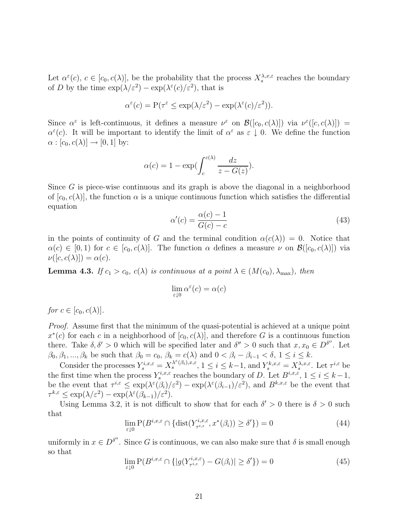Let  $\alpha^{\varepsilon}(c), c \in [c_0, c(\lambda)]$ , be the probability that the process  $X_s^{\lambda,x,\varepsilon}$  reaches the boundary of D by the time  $\exp(\lambda/\varepsilon^2) - \exp(\lambda^{\varepsilon}(c)/\varepsilon^2)$ , that is

$$
\alpha^{\varepsilon}(c) = \mathcal{P}(\tau^{\varepsilon} \le \exp(\lambda/\varepsilon^2) - \exp(\lambda^{\varepsilon}(c)/\varepsilon^2)).
$$

Since  $\alpha^{\varepsilon}$  is left-continuous, it defines a measure  $\nu^{\varepsilon}$  on  $\mathcal{B}([c_0, c(\lambda)])$  via  $\nu^{\varepsilon}([c, c(\lambda)])$  $\alpha^{\varepsilon}(c)$ . It will be important to identify the limit of  $\alpha^{\varepsilon}$  as  $\varepsilon \downarrow 0$ . We define the function  $\alpha : [c_0, c(\lambda)] \rightarrow [0, 1]$  by:

$$
\alpha(c) = 1 - \exp\left(\int_c^{c(\lambda)} \frac{dz}{z - G(z)}\right).
$$

Since  $G$  is piece-wise continuous and its graph is above the diagonal in a neighborhood of  $[c_0, c(\lambda)]$ , the function  $\alpha$  is a unique continuous function which satisfies the differential equation

$$
\alpha'(c) = \frac{\alpha(c) - 1}{G(c) - c} \tag{43}
$$

in the points of continuity of G and the terminal condition  $\alpha(c(\lambda)) = 0$ . Notice that  $\alpha(c) \in [0,1)$  for  $c \in [c_0, c(\lambda)]$ . The function  $\alpha$  defines a measure  $\nu$  on  $\mathcal{B}([c_0, c(\lambda)])$  via  $\nu([c, c(\lambda)]) = \alpha(c).$ 

**Lemma 4.3.** If  $c_1 > c_0$ ,  $c(\lambda)$  is continuous at a point  $\lambda \in (M(c_0), \lambda_{\max})$ , then

$$
\lim_{\varepsilon \downarrow 0} \alpha^{\varepsilon}(c) = \alpha(c)
$$

for  $c \in [c_0, c(\lambda)].$ 

Proof. Assume first that the minimum of the quasi-potential is achieved at a unique point  $x^*(c)$  for each c in a neighborhood of  $[c_0, c(\lambda)]$ , and therefore G is a continuous function there. Take  $\delta, \delta' > 0$  which will be specified later and  $\delta'' > 0$  such that  $x, x_0 \in D^{\delta''}$ . Let  $\beta_0, \beta_1, ..., \beta_k$  be such that  $\beta_0 = c_0$ ,  $\beta_k = c(\lambda)$  and  $0 < \beta_i - \beta_{i-1} < \delta$ ,  $1 \le i \le k$ .

Consider the processes  $Y_s^{i,x,\varepsilon} = X_s^{\lambda^{\varepsilon}(\beta_i),x,\varepsilon}, 1 \le i \le k-1$ , and  $Y_s^{k,x,\varepsilon} = X_s^{\lambda,x,\varepsilon}$ . Let  $\tau^{i,\varepsilon}$  be the first time when the process  $Y_s^{i,x,\varepsilon}$  reaches the boundary of D. Let  $B^{i,x,\varepsilon}$ ,  $1 \le i \le k-1$ , be the event that  $\tau^{i,\varepsilon} \leq \exp(\lambda^{\varepsilon}(\tilde{\beta}_i)/\varepsilon^2) - \exp(\lambda^{\varepsilon}(\beta_{i-1})/\varepsilon^2)$ , and  $B^{k,x,\varepsilon}$  be the event that  $\tau^{k,\varepsilon} \le \exp(\lambda/\varepsilon^2) - \exp(\lambda^{\varepsilon}(\beta_{k-1})/\varepsilon^2).$ 

Using Lemma 3.2, it is not difficult to show that for each  $\delta' > 0$  there is  $\delta > 0$  such that

$$
\lim_{\varepsilon \downarrow 0} P(B^{i,x,\varepsilon} \cap \{\text{dist}(Y^{i,x,\varepsilon}_{\tau^{i,\varepsilon}}, x^*(\beta_i)) \ge \delta' \}) = 0 \tag{44}
$$

uniformly in  $x \in D^{\delta''}$ . Since G is continuous, we can also make sure that  $\delta$  is small enough so that

$$
\lim_{\varepsilon \downarrow 0} P(B^{i,x,\varepsilon} \cap \{|g(Y^{i,x,\varepsilon}_{\tau^{i,\varepsilon}}) - G(\beta_i)| \ge \delta' \}) = 0 \tag{45}
$$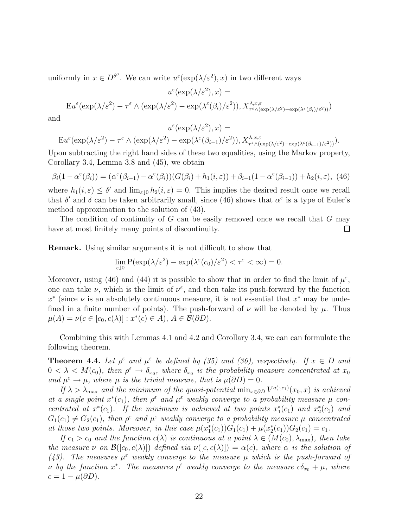uniformly in  $x \in D^{\delta''}$ . We can write  $u^{\varepsilon}(\exp(\lambda/\varepsilon^2), x)$  in two different ways

 $\epsilon$ /

$$
u^{\varepsilon}(\exp(\lambda/\varepsilon^{2}), x) =
$$
  
 
$$
\operatorname{Eu}^{\varepsilon}(\exp(\lambda/\varepsilon^{2}) - \tau^{\varepsilon} \wedge (\exp(\lambda/\varepsilon^{2}) - \exp(\lambda^{\varepsilon}(\beta_{i})/\varepsilon^{2})), X_{\tau^{\varepsilon} \wedge (\exp(\lambda/\varepsilon^{2}) - \exp(\lambda^{\varepsilon}(\beta_{i})/\varepsilon^{2}))})
$$

and

$$
u^{\varepsilon}(\exp(\lambda/\varepsilon^{2}), x) =
$$
  
 
$$
Eu^{\varepsilon}(\exp(\lambda/\varepsilon^{2}) - \tau^{\varepsilon} \wedge (\exp(\lambda/\varepsilon^{2}) - \exp(\lambda^{\varepsilon}(\beta_{i-1})/\varepsilon^{2})), X_{\tau^{\varepsilon} \wedge (\exp(\lambda/\varepsilon^{2}) - \exp(\lambda^{\varepsilon}(\beta_{i-1})/\varepsilon^{2}))}^{\lambda, x, \varepsilon}).
$$

Upon subtracting the right hand sides of these two equalities, using the Markov property, Corollary 3.4, Lemma 3.8 and (45), we obtain

$$
\beta_i(1 - \alpha^{\varepsilon}(\beta_i)) = (\alpha^{\varepsilon}(\beta_{i-1}) - \alpha^{\varepsilon}(\beta_i))(G(\beta_i) + h_1(i, \varepsilon)) + \beta_{i-1}(1 - \alpha^{\varepsilon}(\beta_{i-1})) + h_2(i, \varepsilon), \tag{46}
$$

where  $h_1(i,\varepsilon) \leq \delta'$  and  $\lim_{\varepsilon \to 0} h_2(i,\varepsilon) = 0$ . This implies the desired result once we recall that  $\delta'$  and  $\delta$  can be taken arbitrarily small, since (46) shows that  $\alpha^{\epsilon}$  is a type of Euler's method approximation to the solution of (43).

The condition of continuity of  $G$  can be easily removed once we recall that  $G$  may have at most finitely many points of discontinuity. П

**Remark.** Using similar arguments it is not difficult to show that

$$
\lim_{\varepsilon \downarrow 0} P(\exp(\lambda/\varepsilon^2) - \exp(\lambda^{\varepsilon}(c_0)/\varepsilon^2) < \tau^{\varepsilon} < \infty) = 0.
$$

Moreover, using (46) and (44) it is possible to show that in order to find the limit of  $\mu^{\varepsilon}$ , one can take  $\nu$ , which is the limit of  $\nu^{\varepsilon}$ , and then take its push-forward by the function  $x^*$  (since  $\nu$  is an absolutely continuous measure, it is not essential that  $x^*$  may be undefined in a finite number of points). The push-forward of  $\nu$  will be denoted by  $\mu$ . Thus  $\mu(A) = \nu(c \in [c_0, c(\lambda)] : x^*(c) \in A), A \in \mathcal{B}(\partial D).$ 

Combining this with Lemmas 4.1 and 4.2 and Corollary 3.4, we can can formulate the following theorem.

**Theorem 4.4.** Let  $\rho^{\varepsilon}$  and  $\mu^{\varepsilon}$  be defined by (35) and (36), respectively. If  $x \in D$  and  $0 < \lambda < M(c_0)$ , then  $\rho^{\varepsilon} \to \delta_{x_0}$ , where  $\delta_{x_0}$  is the probability measure concentrated at  $x_0$ and  $\mu^{\varepsilon} \to \mu$ , where  $\mu$  is the trivial measure, that is  $\mu(\partial D)=0$ .

If  $\lambda > \lambda_{\text{max}}$  and the minimum of the quasi-potential  $\min_{x \in \partial D} V^{a(\cdot,c_1)}(x_0, x)$  is achieved at a single point  $x^*(c_1)$ , then  $\rho^{\varepsilon}$  and  $\mu^{\varepsilon}$  weakly converge to a probability measure  $\mu$  concentrated at  $x^*(c_1)$ . If the minimum is achieved at two points  $x_1^*(c_1)$  and  $x_2^*(c_1)$  and  $G_1(c_1) \neq G_2(c_1)$ , then  $\rho^{\varepsilon}$  and  $\mu^{\varepsilon}$  weakly converge to a probability measure  $\mu$  concentrated at those two points. Moreover, in this case  $\mu(x_1^*(c_1))G_1(c_1) + \mu(x_2^*(c_1))G_2(c_1) = c_1$ .

If  $c_1 > c_0$  and the function  $c(\lambda)$  is continuous at a point  $\lambda \in (M(c_0), \lambda_{\max})$ , then take the measure  $\nu$  on  $\mathcal{B}([c_0, c(\lambda)])$  defined via  $\nu([c, c(\lambda)]) = \alpha(c)$ , where  $\alpha$  is the solution of (43). The measures  $\mu^{\epsilon}$  weakly converge to the measure  $\mu$  which is the push-forward of v by the function  $x^*$ . The measures  $\rho^{\varepsilon}$  weakly converge to the measure  $c\delta_{x_0} + \mu$ , where  $c = 1 - \mu(\partial D).$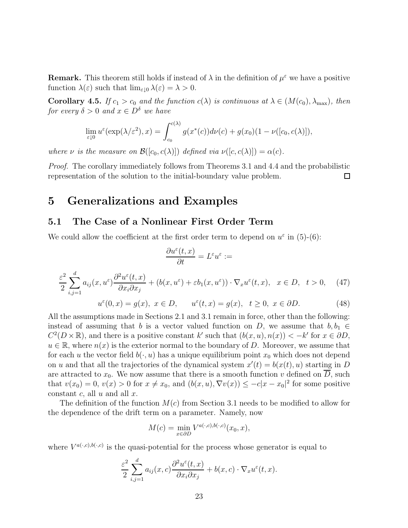**Remark.** This theorem still holds if instead of  $\lambda$  in the definition of  $\mu^{\varepsilon}$  we have a positive function  $\lambda(\varepsilon)$  such that  $\lim_{\varepsilon>0} \lambda(\varepsilon) = \lambda > 0$ .

**Corollary 4.5.** If  $c_1 > c_0$  and the function  $c(\lambda)$  is continuous at  $\lambda \in (M(c_0), \lambda_{\max})$ , then for every  $\delta > 0$  and  $x \in D^{\delta}$  we have

$$
\lim_{\varepsilon \downarrow 0} u^{\varepsilon}(\exp(\lambda/\varepsilon^2), x) = \int_{c_0}^{c(\lambda)} g(x^*(c))d\nu(c) + g(x_0)(1 - \nu([c_0, c(\lambda)]),
$$

where  $\nu$  is the measure on  $\mathcal{B}([c_0, c(\lambda)])$  defined via  $\nu([c, c(\lambda)]) = \alpha(c)$ .

Proof. The corollary immediately follows from Theorems 3.1 and 4.4 and the probabilistic representation of the solution to the initial-boundary value problem.  $\Box$ 

## **5 Generalizations and Examples**

#### **5.1 The Case of a Nonlinear First Order Term**

We could allow the coefficient at the first order term to depend on  $u^{\epsilon}$  in (5)-(6):

$$
\frac{\partial u^{\varepsilon}(t,x)}{\partial t} = L^{\varepsilon} u^{\varepsilon} :=
$$
\n
$$
\frac{\varepsilon^{2}}{2} \sum_{i,j=1}^{d} a_{ij}(x, u^{\varepsilon}) \frac{\partial^{2} u^{\varepsilon}(t,x)}{\partial x_{i} \partial x_{j}} + (b(x, u^{\varepsilon}) + \varepsilon b_{1}(x, u^{\varepsilon})) \cdot \nabla_{x} u^{\varepsilon}(t,x), \quad x \in D, \quad t > 0, \quad (47)
$$

$$
u^{\varepsilon}(0,x) = g(x), \ x \in D, \qquad u^{\varepsilon}(t,x) = g(x), \quad t \ge 0, \ x \in \partial D.
$$
 (48)

All the assumptions made in Sections 2.1 and 3.1 remain in force, other than the following: instead of assuming that b is a vector valued function on D, we assume that  $b, b_1 \in$  $C^2(D\times\mathbb{R})$ , and there is a positive constant k' such that  $(b(x, u), n(x)) < -k'$  for  $x \in \partial D$ ,  $u \in \mathbb{R}$ , where  $n(x)$  is the exterior normal to the boundary of D. Moreover, we assume that for each u the vector field  $b(\cdot, u)$  has a unique equilibrium point  $x_0$  which does not depend on u and that all the trajectories of the dynamical system  $x'(t) = b(x(t), u)$  starting in D are attracted to  $x_0$ . We now assume that there is a smooth function v defined on  $\overline{D}$ , such that  $v(x_0) = 0$ ,  $v(x) > 0$  for  $x \neq x_0$ , and  $(b(x, u), \nabla v(x)) \leq -c|x - x_0|^2$  for some positive constant c, all  $u$  and all  $x$ .

The definition of the function  $M(c)$  from Section 3.1 needs to be modified to allow for the dependence of the drift term on a parameter. Namely, now

$$
M(c) = \min_{x \in \partial D} V^{a(\cdot,c),b(\cdot,c)}(x_0,x),
$$

where  $V^{a(\cdot,c),b(\cdot,c)}$  is the quasi-potential for the process whose generator is equal to

$$
\frac{\varepsilon^2}{2} \sum_{i,j=1}^d a_{ij}(x,c) \frac{\partial^2 u^{\varepsilon}(t,x)}{\partial x_i \partial x_j} + b(x,c) \cdot \nabla_x u^{\varepsilon}(t,x).
$$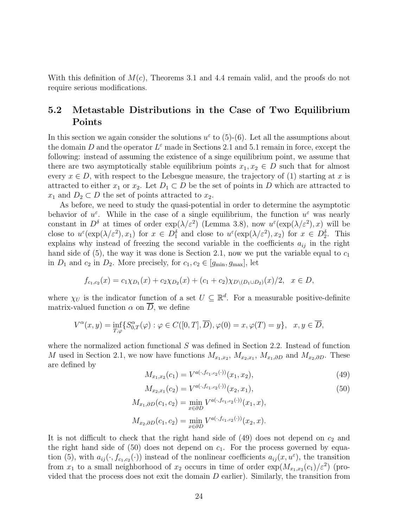With this definition of  $M(c)$ , Theorems 3.1 and 4.4 remain valid, and the proofs do not require serious modifications.

### **5.2 Metastable Distributions in the Case of Two Equilibrium Points**

In this section we again consider the solutions  $u^{\varepsilon}$  to (5)-(6). Let all the assumptions about the domain D and the operator  $L^{\varepsilon}$  made in Sections 2.1 and 5.1 remain in force, except the following: instead of assuming the existence of a singe equilibrium point, we assume that there are two asymptotically stable equilibrium points  $x_1, x_2 \in D$  such that for almost every  $x \in D$ , with respect to the Lebesgue measure, the trajectory of (1) starting at x is attracted to either  $x_1$  or  $x_2$ . Let  $D_1 \subset D$  be the set of points in D which are attracted to  $x_1$  and  $D_2 \subset D$  the set of points attracted to  $x_2$ .

As before, we need to study the quasi-potential in order to determine the asymptotic behavior of  $u^{\varepsilon}$ . While in the case of a single equilibrium, the function  $u^{\varepsilon}$  was nearly constant in  $D^{\delta}$  at times of order  $\exp(\lambda/\varepsilon^2)$  (Lemma 3.8), now  $u^{\varepsilon}(\exp(\lambda/\varepsilon^2),x)$  will be close to  $u^{\varepsilon}(\exp(\lambda/\varepsilon^2), x_1)$  for  $x \in D_1^{\delta}$  and close to  $u^{\varepsilon}(\exp(\lambda/\varepsilon^2), x_2)$  for  $x \in D_2^{\delta}$ . This explains why instead of freezing the second variable in the coefficients  $a_{ij}$  in the right hand side of  $(5)$ , the way it was done is Section 2.1, now we put the variable equal to  $c_1$ in  $D_1$  and  $c_2$  in  $D_2$ . More precisely, for  $c_1, c_2 \in [g_{\min}, g_{\max}]$ , let

$$
f_{c_1,c_2}(x) = c_1 \chi_{D_1}(x) + c_2 \chi_{D_2}(x) + (c_1 + c_2) \chi_{D \setminus (D_1 \cup D_2)}(x)/2, \quad x \in D,
$$

where  $\chi_U$  is the indicator function of a set  $U \subseteq \mathbb{R}^d$ . For a measurable positive-definite matrix-valued function  $\alpha$  on D, we define

$$
V^{\alpha}(x, y) = \inf_{T, \varphi} \{ S^{\alpha}_{0,T}(\varphi) : \varphi \in C([0, T], \overline{D}), \varphi(0) = x, \varphi(T) = y \}, \quad x, y \in \overline{D},
$$

where the normalized action functional  $S$  was defined in Section 2.2. Instead of function M used in Section 2.1, we now have functions  $M_{x_1,x_2}$ ,  $M_{x_2,x_1}$ ,  $M_{x_1,\partial D}$  and  $M_{x_2,\partial D}$ . These are defined by

$$
M_{x_1,x_2}(c_1) = V^{a(\cdot,f_{c_1,c_2}(\cdot))}(x_1,x_2),\tag{49}
$$

$$
M_{x_2,x_1}(c_2) = V^{a(\cdot,f_{c_1,c_2}(\cdot))}(x_2,x_1),
$$
\n(50)

$$
M_{x_1,\partial D}(c_1, c_2) = \min_{x \in \partial D} V^{a(\cdot, f_{c_1,c_2}(\cdot))}(x_1, x),
$$
  

$$
M_{x_2,\partial D}(c_1, c_2) = \min_{x \in \partial D} V^{a(\cdot, f_{c_1,c_2}(\cdot))}(x_2, x).
$$

It is not difficult to check that the right hand side of  $(49)$  does not depend on  $c_2$  and the right hand side of (50) does not depend on  $c_1$ . For the process governed by equation (5), with  $a_{ij}(\cdot, f_{c_1,c_2}(\cdot))$  instead of the nonlinear coefficients  $a_{ij}(x, u^{\varepsilon})$ , the transition from  $x_1$  to a small neighborhood of  $x_2$  occurs in time of order  $\exp(M_{x_1,x_2}(c_1)/\varepsilon^2)$  (provided that the process does not exit the domain  $D$  earlier). Similarly, the transition from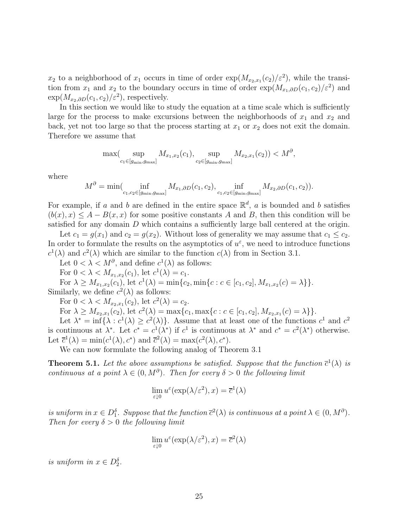$x_2$  to a neighborhood of  $x_1$  occurs in time of order  $\exp(M_{x_2,x_1}(c_2)/\varepsilon^2)$ , while the transition from  $x_1$  and  $x_2$  to the boundary occurs in time of order  $\exp(M_{x_1,\partial D}(c_1, c_2)/\varepsilon^2)$  and  $\exp(M_{x_2,\partial D}(c_1,c_2)/\varepsilon^2)$ , respectively.

In this section we would like to study the equation at a time scale which is sufficiently large for the process to make excursions between the neighborhoods of  $x_1$  and  $x_2$  and back, yet not too large so that the process starting at  $x_1$  or  $x_2$  does not exit the domain. Therefore we assume that

$$
\max(\sup_{c_1 \in [g_{\min}, g_{\max}]} M_{x_1, x_2}(c_1), \sup_{c_2 \in [g_{\min}, g_{\max}]} M_{x_2, x_1}(c_2)) < M^\partial,
$$

where

$$
M^{\partial} = \min(\inf_{c_1, c_2 \in [g_{\min}, g_{\max}]} M_{x_1, \partial D}(c_1, c_2), \inf_{c_1, c_2 \in [g_{\min}, g_{\max}]} M_{x_2, \partial D}(c_1, c_2)).
$$

For example, if a and b are defined in the entire space  $\mathbb{R}^d$ , a is bounded and b satisfies  $(b(x), x) \leq A - B(x, x)$  for some positive constants A and B, then this condition will be satisfied for any domain D which contains a sufficiently large ball centered at the origin.

Let  $c_1 = g(x_1)$  and  $c_2 = g(x_2)$ . Without loss of generality we may assume that  $c_1 \leq c_2$ . In order to formulate the results on the asymptotics of  $u^{\varepsilon}$ , we need to introduce functions  $c^{1}(\lambda)$  and  $c^{2}(\lambda)$  which are similar to the function  $c(\lambda)$  from in Section 3.1.

Let  $0 < \lambda < M^{\partial}$ , and define  $c^{1}(\lambda)$  as follows:

For  $0 < \lambda < M_{x_1,x_2}(c_1)$ , let  $c^1(\lambda) = c_1$ .

For  $\lambda \geq M_{x_1,x_2}(c_1)$ , let  $c^1(\lambda) = \min\{c_2, \min\{c : c \in [c_1, c_2], M_{x_1,x_2}(c) = \lambda\}\}.$ Similarly, we define  $c^2(\lambda)$  as follows:

For  $0 < \lambda < M_{x_2, x_1}(c_2)$ , let  $c^2(\lambda) = c_2$ .

For  $\lambda \geq M_{x_2,x_1}(c_2)$ , let  $c^2(\lambda) = \max\{c_1, \max\{c : c \in [c_1, c_2], M_{x_2,x_1}(c) = \lambda\}\}.$ 

Let  $\lambda^* = \inf \{ \lambda : c^1(\lambda) \ge c^2(\lambda) \}.$  Assume that at least one of the functions  $c^1$  and  $c^2$ is continuous at  $\lambda^*$ . Let  $c^* = c^1(\lambda^*)$  if  $c^1$  is continuous at  $\lambda^*$  and  $c^* = c^2(\lambda^*)$  otherwise. Let  $\overline{c}^1(\lambda) = \min(c^1(\lambda), c^*)$  and  $\overline{c}^2(\lambda) = \max(c^2(\lambda), c^*)$ .

We can now formulate the following analog of Theorem 3.1

**Theorem 5.1.** Let the above assumptions be satisfied. Suppose that the function  $\bar{c}^1(\lambda)$  is continuous at a point  $\lambda \in (0, M^{\partial})$ . Then for every  $\delta > 0$  the following limit

$$
\lim_{\varepsilon \downarrow 0} u^{\varepsilon}(\exp(\lambda/\varepsilon^2), x) = \overline{c}^1(\lambda)
$$

is uniform in  $x \in D_1^{\delta}$ . Suppose that the function  $\overline{c}^2(\lambda)$  is continuous at a point  $\lambda \in (0, M^{\partial})$ . Then for every  $\delta > 0$  the following limit

$$
\lim_{\varepsilon \downarrow 0} u^{\varepsilon}(\exp(\lambda/\varepsilon^2), x) = \overline{c}^2(\lambda)
$$

is uniform in  $x \in D_2^{\delta}$ .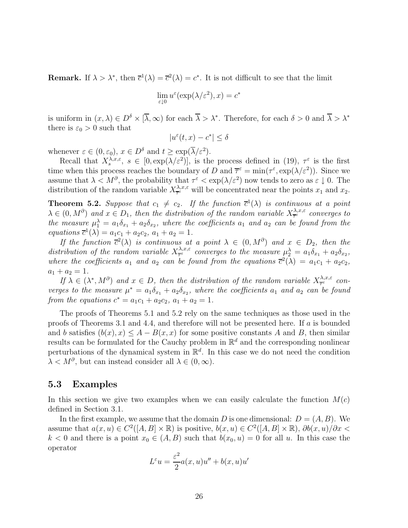**Remark.** If  $\lambda > \lambda^*$ , then  $\overline{c}^1(\lambda) = \overline{c}^2(\lambda) = c^*$ . It is not difficult to see that the limit

$$
\lim_{\varepsilon \downarrow 0} u^{\varepsilon}(\exp(\lambda/\varepsilon^2), x) = c^*
$$

is uniform in  $(x, \lambda) \in D^{\delta} \times [\overline{\lambda}, \infty)$  for each  $\overline{\lambda} > \lambda^*$ . Therefore, for each  $\delta > 0$  and  $\overline{\lambda} > \lambda^*$ there is  $\varepsilon_0 > 0$  such that

$$
|u^\varepsilon(t,x)-c^*|\leq \delta
$$

whenever  $\varepsilon \in (0, \varepsilon_0)$ ,  $x \in D^{\delta}$  and  $t \geq \exp(\overline{\lambda}/\varepsilon^2)$ .

Recall that  $X_s^{\lambda,x,\varepsilon}$ ,  $s \in [0,\exp(\lambda/\varepsilon^2)]$ , is the process defined in (19),  $\tau^{\varepsilon}$  is the first time when this process reaches the boundary of D and  $\overline{\tau}^{\epsilon} = \min(\tau^{\epsilon}, \exp(\lambda/\epsilon^2))$ . Since we assume that  $\lambda < M^{\partial}$ , the probability that  $\tau^{\varepsilon} < \exp(\lambda/\varepsilon^2)$  now tends to zero as  $\varepsilon \downarrow 0$ . The distribution of the random variable  $X_{\overline{\tau}^{\varepsilon}}^{\lambda,x,\varepsilon}$  will be concentrated near the points  $x_1$  and  $x_2$ .

**Theorem 5.2.** Suppose that  $c_1 \neq c_2$ . If the function  $\bar{c}^1(\lambda)$  is continuous at a point  $\lambda \in (0, M^{\partial})$  and  $x \in D_1$ , then the distribution of the random variable  $X_{\tau}^{\lambda, x, \varepsilon}$  converges to the measure  $\mu_1^{\lambda} = a_1 \delta_{x_1} + a_2 \delta_{x_2}$ , where the coefficients  $a_1$  and  $a_2$  can be found from the equations  $\overline{c}^1(\lambda) = a_1c_1 + a_2c_2, a_1 + a_2 = 1.$ 

If the function  $\bar{c}^2(\lambda)$  is continuous at a point  $\lambda \in (0, M^{\partial})$  and  $x \in D_2$ , then the distribution of the random variable  $X_{\overline{\tau}}^{\lambda,x,\varepsilon}$  converges to the measure  $\mu_2^{\lambda} = a_1 \delta_{x_1} + a_2 \delta_{x_2}$ , where the coefficients  $a_1$  and  $a_2$  can be found from the equations  $\overline{c}^2(\lambda) = a_1c_1 + a_2c_2$ ,  $a_1 + a_2 = 1.$ 

If  $\lambda \in (\lambda^*, M^{\partial})$  and  $x \in D$ , then the distribution of the random variable  $X_{\overline{\tau}^{\varepsilon}}^{\lambda, x, \varepsilon}$  converges to the measure  $\mu^* = a_1 \delta_{x_1} + a_2 \delta_{x_2}$ , where the coefficients  $a_1$  and  $a_2$  can be found from the equations  $c^* = a_1c_1 + a_2c_2, a_1 + a_2 = 1.$ 

The proofs of Theorems 5.1 and 5.2 rely on the same techniques as those used in the proofs of Theorems 3.1 and 4.4, and therefore will not be presented here. If a is bounded and b satisfies  $(b(x), x) \leq A - B(x, x)$  for some positive constants A and B, then similar results can be formulated for the Cauchy problem in  $\mathbb{R}^d$  and the corresponding nonlinear perturbations of the dynamical system in  $\mathbb{R}^d$ . In this case we do not need the condition  $\lambda < M^{\partial}$ , but can instead consider all  $\lambda \in (0, \infty)$ .

#### **5.3 Examples**

In this section we give two examples when we can easily calculate the function  $M(c)$ defined in Section 3.1.

In the first example, we assume that the domain D is one dimensional:  $D = (A, B)$ . We assume that  $a(x, u) \in C^2([A, B] \times \mathbb{R})$  is positive,  $b(x, u) \in C^2([A, B] \times \mathbb{R})$ ,  $\partial b(x, u)/\partial x$  $k < 0$  and there is a point  $x_0 \in (A, B)$  such that  $b(x_0, u) = 0$  for all u. In this case the operator

$$
L^{\varepsilon}u = \frac{\varepsilon^2}{2}a(x, u)u'' + b(x, u)u'
$$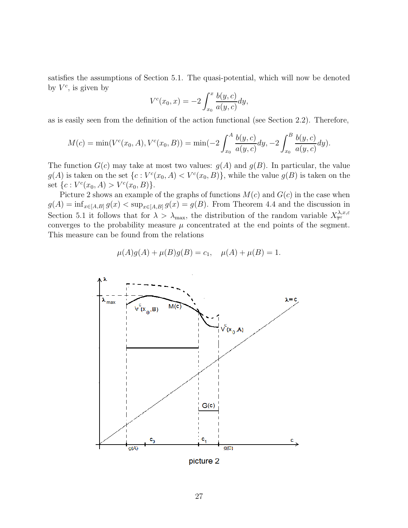satisfies the assumptions of Section 5.1. The quasi-potential, which will now be denoted by  $V^c$ , is given by

$$
V^{c}(x_{0}, x) = -2 \int_{x_{0}}^{x} \frac{b(y, c)}{a(y, c)} dy,
$$

as is easily seen from the definition of the action functional (see Section 2.2). Therefore,

$$
M(c) = \min(V^{c}(x_0, A), V^{c}(x_0, B)) = \min(-2\int_{x_0}^{A} \frac{b(y, c)}{a(y, c)} dy, -2\int_{x_0}^{B} \frac{b(y, c)}{a(y, c)} dy).
$$

The function  $G(c)$  may take at most two values:  $q(A)$  and  $q(B)$ . In particular, the value  $g(A)$  is taken on the set  $\{c: V^c(x_0, A) < V^c(x_0, B)\}$ , while the value  $g(B)$  is taken on the set  $\{c: V^c(x_0, A) > V^c(x_0, B)\}.$ 

Picture 2 shows an example of the graphs of functions  $M(c)$  and  $G(c)$  in the case when  $g(A) = \inf_{x \in [A,B]} g(x) < \sup_{x \in [A,B]} g(x) = g(B)$ . From Theorem 4.4 and the discussion in Section 5.1 it follows that for  $\lambda > \lambda_{\max}$ , the distribution of the random variable  $X_{\overline{\tau}}^{\lambda,x,\varepsilon}$ converges to the probability measure  $\mu$  concentrated at the end points of the segment. This measure can be found from the relations

$$
\mu(A)g(A) + \mu(B)g(B) = c_1, \quad \mu(A) + \mu(B) = 1.
$$



picture 2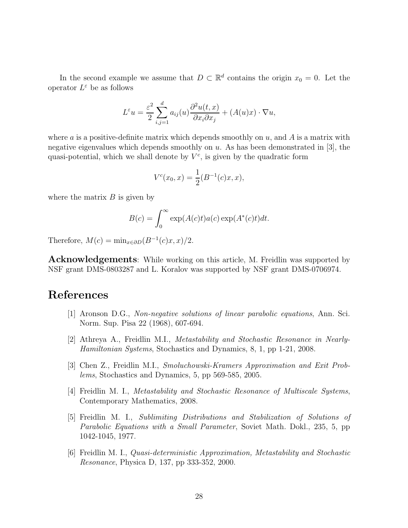In the second example we assume that  $D \subset \mathbb{R}^d$  contains the origin  $x_0 = 0$ . Let the operator  $L^{\varepsilon}$  be as follows

$$
L^{\varepsilon}u = \frac{\varepsilon^2}{2} \sum_{i,j=1}^d a_{ij}(u) \frac{\partial^2 u(t,x)}{\partial x_i \partial x_j} + (A(u)x) \cdot \nabla u,
$$

where a is a positive-definite matrix which depends smoothly on  $u$ , and  $A$  is a matrix with negative eigenvalues which depends smoothly on  $u$ . As has been demonstrated in [3], the quasi-potential, which we shall denote by  $V^c$ , is given by the quadratic form

$$
V^{c}(x_0, x) = \frac{1}{2}(B^{-1}(c)x, x),
$$

where the matrix  $B$  is given by

$$
B(c) = \int_0^\infty \exp(A(c)t) a(c) \exp(A^*(c)t) dt.
$$

Therefore,  $M(c) = \min_{x \in \partial D} (B^{-1}(c)x, x)/2$ .

**Acknowledgements**: While working on this article, M. Freidlin was supported by NSF grant DMS-0803287 and L. Koralov was supported by NSF grant DMS-0706974.

## **References**

- [1] Aronson D.G., Non-negative solutions of linear parabolic equations, Ann. Sci. Norm. Sup. Pisa 22 (1968), 607-694.
- [2] Athreya A., Freidlin M.I., Metastability and Stochastic Resonance in Nearly-Hamiltonian Systems, Stochastics and Dynamics, 8, 1, pp 1-21, 2008.
- [3] Chen Z., Freidlin M.I., Smoluchowski-Kramers Approximation and Exit Problems, Stochastics and Dynamics, 5, pp 569-585, 2005.
- [4] Freidlin M. I., Metastability and Stochastic Resonance of Multiscale Systems, Contemporary Mathematics, 2008.
- [5] Freidlin M. I., Sublimiting Distributions and Stabilization of Solutions of Parabolic Equations with a Small Parameter, Soviet Math. Dokl., 235, 5, pp 1042-1045, 1977.
- [6] Freidlin M. I., Quasi-deterministic Approximation, Metastability and Stochastic Resonance, Physica D, 137, pp 333-352, 2000.